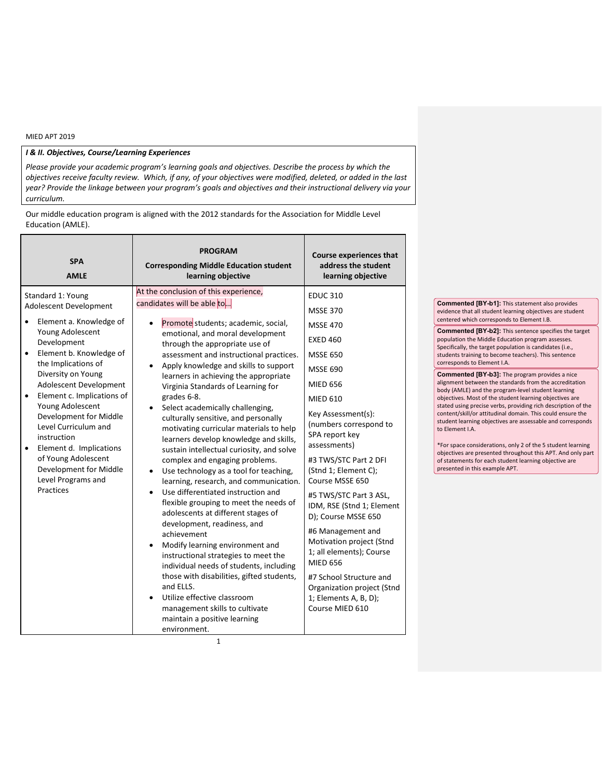## *I & II. Objectives, Course/Learning Experiences*

*Please provide your academic program's learning goals and objectives. Describe the process by which the objectives receive faculty review. Which, if any, of your objectives were modified, deleted, or added in the last year? Provide the linkage between your program's goals and objectives and their instructional delivery via your curriculum.* 

Our middle education program is aligned with the 2012 standards for the Association for Middle Level Education (AMLE).

| <b>SPA</b><br><b>AMLE</b>                                                                                                                                                                                                                                                                                                                                                                                                | <b>PROGRAM</b><br><b>Corresponding Middle Education student</b><br>learning objective                                                                                                                                                                                                                                                                                                                                                                                                                                                                                                                                                                                                                                                                                                                                                                                                                                                                                                                                                                                                                               | <b>Course experiences that</b><br>address the student<br>learning objective                                                                                                                                                                                                                                                                                                                                                                                                                                                                                                |  |
|--------------------------------------------------------------------------------------------------------------------------------------------------------------------------------------------------------------------------------------------------------------------------------------------------------------------------------------------------------------------------------------------------------------------------|---------------------------------------------------------------------------------------------------------------------------------------------------------------------------------------------------------------------------------------------------------------------------------------------------------------------------------------------------------------------------------------------------------------------------------------------------------------------------------------------------------------------------------------------------------------------------------------------------------------------------------------------------------------------------------------------------------------------------------------------------------------------------------------------------------------------------------------------------------------------------------------------------------------------------------------------------------------------------------------------------------------------------------------------------------------------------------------------------------------------|----------------------------------------------------------------------------------------------------------------------------------------------------------------------------------------------------------------------------------------------------------------------------------------------------------------------------------------------------------------------------------------------------------------------------------------------------------------------------------------------------------------------------------------------------------------------------|--|
| Standard 1: Young<br>Adolescent Development                                                                                                                                                                                                                                                                                                                                                                              | At the conclusion of this experience,<br>candidates will be able to                                                                                                                                                                                                                                                                                                                                                                                                                                                                                                                                                                                                                                                                                                                                                                                                                                                                                                                                                                                                                                                 | <b>EDUC 310</b>                                                                                                                                                                                                                                                                                                                                                                                                                                                                                                                                                            |  |
| Element a. Knowledge of<br>Young Adolescent<br>Development<br>Element b. Knowledge of<br>$\bullet$<br>the Implications of<br>Diversity on Young<br>Adolescent Development<br>Element c. Implications of<br>Young Adolescent<br>Development for Middle<br>Level Curriculum and<br>instruction<br>Element d. Implications<br>$\bullet$<br>of Young Adolescent<br>Development for Middle<br>Level Programs and<br>Practices | Promote students; academic, social,<br>emotional, and moral development<br>through the appropriate use of<br>assessment and instructional practices.<br>Apply knowledge and skills to support<br>٠<br>learners in achieving the appropriate<br>Virginia Standards of Learning for<br>grades 6-8.<br>Select academically challenging,<br>culturally sensitive, and personally<br>motivating curricular materials to help<br>learners develop knowledge and skills,<br>sustain intellectual curiosity, and solve<br>complex and engaging problems.<br>Use technology as a tool for teaching,<br>$\bullet$<br>learning, research, and communication.<br>Use differentiated instruction and<br>$\bullet$<br>flexible grouping to meet the needs of<br>adolescents at different stages of<br>development, readiness, and<br>achievement<br>Modify learning environment and<br>instructional strategies to meet the<br>individual needs of students, including<br>those with disabilities, gifted students,<br>and ELLS.<br>Utilize effective classroom<br>management skills to cultivate<br>maintain a positive learning | <b>MSSE 370</b><br><b>MSSE 470</b><br><b>EXED 460</b><br><b>MSSE 650</b><br><b>MSSE 690</b><br><b>MIED 656</b><br><b>MIED 610</b><br>Key Assessment(s):<br>(numbers correspond to<br>SPA report key<br>assessments)<br>#3 TWS/STC Part 2 DFI<br>(Stnd 1; Element C);<br>Course MSSE 650<br>#5 TWS/STC Part 3 ASL,<br>IDM, RSE (Stnd 1; Element<br>D); Course MSSE 650<br>#6 Management and<br>Motivation project (Stnd<br>1; all elements); Course<br><b>MIED 656</b><br>#7 School Structure and<br>Organization project (Stnd<br>1; Elements A, B, D);<br>Course MIED 610 |  |
|                                                                                                                                                                                                                                                                                                                                                                                                                          | environment.                                                                                                                                                                                                                                                                                                                                                                                                                                                                                                                                                                                                                                                                                                                                                                                                                                                                                                                                                                                                                                                                                                        |                                                                                                                                                                                                                                                                                                                                                                                                                                                                                                                                                                            |  |

**Commented [BY-b1]:** This statement also provides evidence that all student learning objectives are student centered which corresponds to Element I.B.

**Commented [BY-b2]:** This sentence specifies the target population the Middle Education program assesses. Specifically, the target population is candidates (i.e., students training to become teachers). This sentence corresponds to Element I.A.

**Commented [BY-b3]:** The program provides a nice alignment between the standards from the accreditation body (AMLE) and the program-level student learning objectives. Most of the student learning objectives are stated using precise verbs, providing rich description of the content/skill/or attitudinal domain. This could ensure the student learning objectives are assessable and corresponds to Element I.A.

\*For space considerations, only 2 of the 5 student learning objectives are presented throughout this APT. And only part of statements for each student learning objective are presented in this example APT.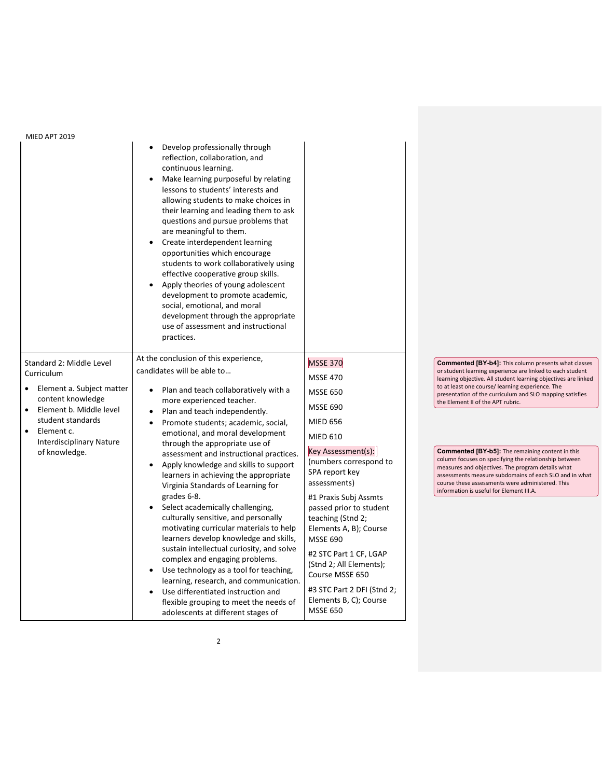| IVIILD AF I ZUIJ                                                                                                                                                                                                        | Develop professionally through<br>reflection, collaboration, and<br>continuous learning.<br>Make learning purposeful by relating<br>lessons to students' interests and<br>allowing students to make choices in<br>their learning and leading them to ask<br>questions and pursue problems that<br>are meaningful to them.<br>Create interdependent learning<br>opportunities which encourage<br>students to work collaboratively using<br>effective cooperative group skills.<br>Apply theories of young adolescent<br>$\bullet$<br>development to promote academic,<br>social, emotional, and moral<br>development through the appropriate<br>use of assessment and instructional<br>practices. |                                                                                                                                                                                                                                                                                                         |                                                                                                                                                                                                                                                                                                                                                                                                                                                                     |
|-------------------------------------------------------------------------------------------------------------------------------------------------------------------------------------------------------------------------|--------------------------------------------------------------------------------------------------------------------------------------------------------------------------------------------------------------------------------------------------------------------------------------------------------------------------------------------------------------------------------------------------------------------------------------------------------------------------------------------------------------------------------------------------------------------------------------------------------------------------------------------------------------------------------------------------|---------------------------------------------------------------------------------------------------------------------------------------------------------------------------------------------------------------------------------------------------------------------------------------------------------|---------------------------------------------------------------------------------------------------------------------------------------------------------------------------------------------------------------------------------------------------------------------------------------------------------------------------------------------------------------------------------------------------------------------------------------------------------------------|
| Standard 2: Middle Level<br>Curriculum<br>Element a. Subject matter<br>content knowledge<br>Element b. Middle level<br>student standards<br>Element c.<br>$\bullet$<br><b>Interdisciplinary Nature</b><br>of knowledge. | At the conclusion of this experience,<br>candidates will be able to<br>Plan and teach collaboratively with a<br>$\bullet$<br>more experienced teacher.<br>Plan and teach independently.<br>$\bullet$<br>Promote students; academic, social,<br>$\bullet$<br>emotional, and moral development<br>through the appropriate use of<br>assessment and instructional practices.<br>Apply knowledge and skills to support<br>$\bullet$                                                                                                                                                                                                                                                                  | <b>MSSE 370</b><br><b>MSSE 470</b><br><b>MSSE 650</b><br><b>MSSE 690</b><br><b>MIED 656</b><br><b>MIED 610</b><br>Key Assessment(s):<br>(numbers correspond to                                                                                                                                          | <b>Commented [BY-b4]:</b> This column presents what classes<br>or student learning experience are linked to each student<br>learning objective. All student learning objectives are linked<br>to at least one course/ learning experience. The<br>presentation of the curriculum and SLO mapping satisfies<br>the Element II of the APT rubric.<br><b>Commented [BY-b5]:</b> The remaining content in this<br>column focuses on specifying the relationship between |
|                                                                                                                                                                                                                         | learners in achieving the appropriate<br>Virginia Standards of Learning for<br>grades 6-8.<br>Select academically challenging,<br>culturally sensitive, and personally<br>motivating curricular materials to help<br>learners develop knowledge and skills,<br>sustain intellectual curiosity, and solve<br>complex and engaging problems.<br>Use technology as a tool for teaching,<br>$\bullet$<br>learning, research, and communication.<br>Use differentiated instruction and<br>flexible grouping to meet the needs of<br>adolescents at different stages of                                                                                                                                | SPA report key<br>assessments)<br>#1 Praxis Subj Assmts<br>passed prior to student<br>teaching (Stnd 2;<br>Elements A, B); Course<br><b>MSSE 690</b><br>#2 STC Part 1 CF, LGAP<br>(Stnd 2; All Elements);<br>Course MSSE 650<br>#3 STC Part 2 DFI (Stnd 2;<br>Elements B, C); Course<br><b>MSSE 650</b> | measures and objectives. The program details what<br>assessments measure subdomains of each SLO and in what<br>course these assessments were administered. This<br>information is useful for Element III.A.                                                                                                                                                                                                                                                         |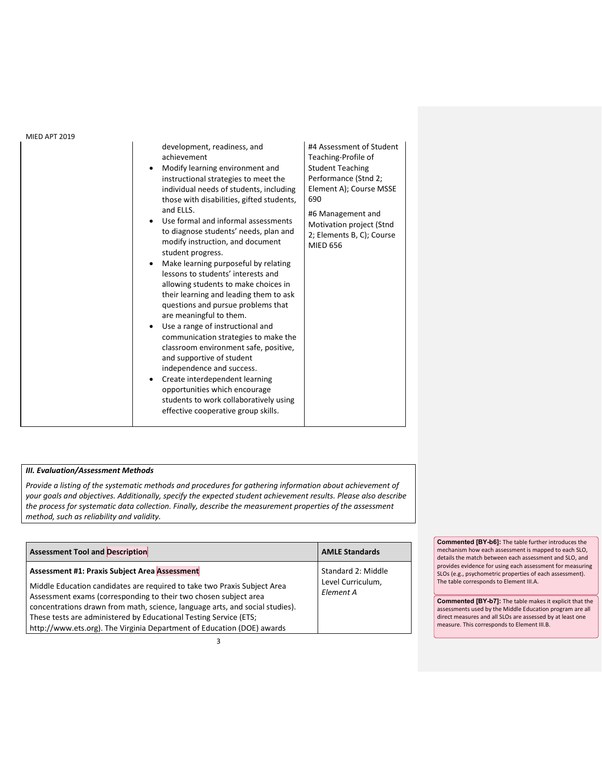| <b>MIED APT 2019</b> |                                                                                                                                                                                                                                                                                                                                                                                                                                                                                                                                                                                                                                                                                                                                                                                                                                                                                                                                                                                |                                                                                                                                                                                                                                       |
|----------------------|--------------------------------------------------------------------------------------------------------------------------------------------------------------------------------------------------------------------------------------------------------------------------------------------------------------------------------------------------------------------------------------------------------------------------------------------------------------------------------------------------------------------------------------------------------------------------------------------------------------------------------------------------------------------------------------------------------------------------------------------------------------------------------------------------------------------------------------------------------------------------------------------------------------------------------------------------------------------------------|---------------------------------------------------------------------------------------------------------------------------------------------------------------------------------------------------------------------------------------|
|                      | development, readiness, and<br>achievement<br>Modify learning environment and<br>$\bullet$<br>instructional strategies to meet the<br>individual needs of students, including<br>those with disabilities, gifted students,<br>and ELLS.<br>Use formal and informal assessments<br>to diagnose students' needs, plan and<br>modify instruction, and document<br>student progress.<br>Make learning purposeful by relating<br>$\bullet$<br>lessons to students' interests and<br>allowing students to make choices in<br>their learning and leading them to ask<br>questions and pursue problems that<br>are meaningful to them.<br>Use a range of instructional and<br>communication strategies to make the<br>classroom environment safe, positive,<br>and supportive of student<br>independence and success.<br>Create interdependent learning<br>$\bullet$<br>opportunities which encourage<br>students to work collaboratively using<br>effective cooperative group skills. | #4 Assessment of Student<br>Teaching-Profile of<br><b>Student Teaching</b><br>Performance (Stnd 2;<br>Element A); Course MSSE<br>690<br>#6 Management and<br>Motivation project (Stnd<br>2; Elements B, C); Course<br><b>MIED 656</b> |

# *III. Evaluation/Assessment Methods*

*Provide a listing of the systematic methods and procedures for gathering information about achievement of your goals and objectives. Additionally, specify the expected student achievement results. Please also describe the process for systematic data collection. Finally, describe the measurement properties of the assessment method, such as reliability and validity.*

| <b>Assessment Tool and Description</b>                                                                                                                                                                                                                                                                                                                                      | <b>AMLE Standards</b>          |
|-----------------------------------------------------------------------------------------------------------------------------------------------------------------------------------------------------------------------------------------------------------------------------------------------------------------------------------------------------------------------------|--------------------------------|
| <b>Assessment #1: Praxis Subject Area Assessment</b>                                                                                                                                                                                                                                                                                                                        | Standard 2: Middle             |
| Middle Education candidates are required to take two Praxis Subject Area<br>Assessment exams (corresponding to their two chosen subject area<br>concentrations drawn from math, science, language arts, and social studies).<br>These tests are administered by Educational Testing Service (ETS;<br>http://www.ets.org). The Virginia Department of Education (DOE) awards | Level Curriculum,<br>Element A |

**Commented [BY-b6]:** The table further introduces the mechanism how each assessment is mapped to each SLO, details the match between each assessment and SLO, and provides evidence for using each assessment for measuring SLOs (e.g., psychometric properties of each assessment). The table corresponds to Element III.A.

**Commented [BY-b7]:** The table makes it explicit that the assessments used by the Middle Education program are all direct measures and all SLOs are assessed by at least one measure. This corresponds to Element III.B.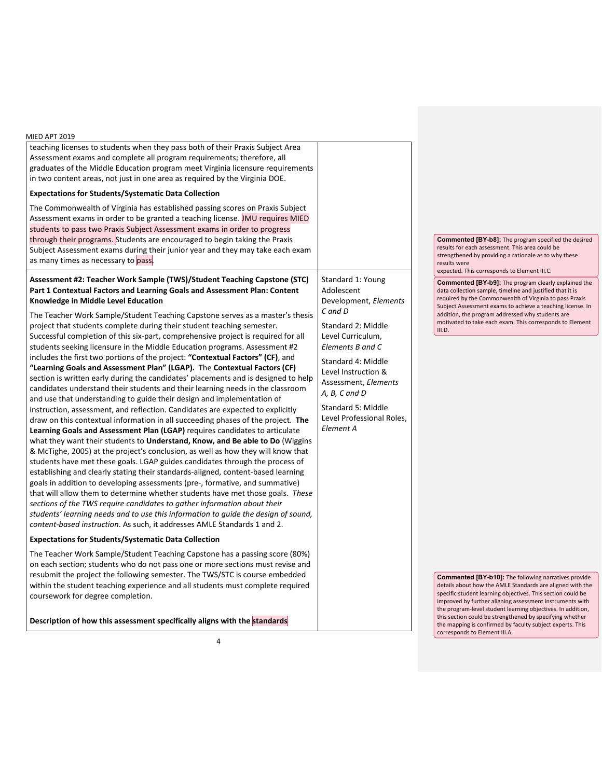| MIED APT 2019                                                                           |                           |                                                                                                                          |
|-----------------------------------------------------------------------------------------|---------------------------|--------------------------------------------------------------------------------------------------------------------------|
| teaching licenses to students when they pass both of their Praxis Subject Area          |                           |                                                                                                                          |
| Assessment exams and complete all program requirements; therefore, all                  |                           |                                                                                                                          |
| graduates of the Middle Education program meet Virginia licensure requirements          |                           |                                                                                                                          |
| in two content areas, not just in one area as required by the Virginia DOE.             |                           |                                                                                                                          |
| <b>Expectations for Students/Systematic Data Collection</b>                             |                           |                                                                                                                          |
| The Commonwealth of Virginia has established passing scores on Praxis Subject           |                           |                                                                                                                          |
| Assessment exams in order to be granted a teaching license. JMU requires MIED           |                           |                                                                                                                          |
| students to pass two Praxis Subject Assessment exams in order to progress               |                           |                                                                                                                          |
| through their programs. Students are encouraged to begin taking the Praxis              |                           | <b>Commented [BY-b8]:</b> The program specified the desired                                                              |
| Subject Assessment exams during their junior year and they may take each exam           |                           | results for each assessment. This area could be                                                                          |
| as many times as necessary to pass.                                                     |                           | strengthened by providing a rationale as to why these<br>results were                                                    |
|                                                                                         |                           | expected. This corresponds to Element III.C.                                                                             |
| Assessment #2: Teacher Work Sample (TWS)/Student Teaching Capstone (STC)                | Standard 1: Young         | <b>Commented [BY-b9]:</b> The program clearly explained the                                                              |
| Part 1 Contextual Factors and Learning Goals and Assessment Plan: Content               | Adolescent                | data collection sample, timeline and justified that it is                                                                |
| Knowledge in Middle Level Education                                                     | Development, Elements     | required by the Commonwealth of Virginia to pass Praxis                                                                  |
| The Teacher Work Sample/Student Teaching Capstone serves as a master's thesis           | C and D                   | Subject Assessment exams to achieve a teaching license. In<br>addition, the program addressed why students are           |
| project that students complete during their student teaching semester.                  | Standard 2: Middle        | motivated to take each exam. This corresponds to Element                                                                 |
| Successful completion of this six-part, comprehensive project is required for all       | Level Curriculum,         | III.D.                                                                                                                   |
| students seeking licensure in the Middle Education programs. Assessment #2              | Elements B and C          |                                                                                                                          |
| includes the first two portions of the project: " <b>Contextual Factors" (CF)</b> , and |                           |                                                                                                                          |
| "Learning Goals and Assessment Plan" (LGAP). The Contextual Factors (CF)                | Standard 4: Middle        |                                                                                                                          |
| section is written early during the candidates' placements and is designed to help      | Level Instruction &       |                                                                                                                          |
| candidates understand their students and their learning needs in the classroom          | Assessment, Elements      |                                                                                                                          |
| and use that understanding to guide their design and implementation of                  | A, B, C and D             |                                                                                                                          |
| instruction, assessment, and reflection. Candidates are expected to explicitly          | Standard 5: Middle        |                                                                                                                          |
| draw on this contextual information in all succeeding phases of the project. The        | Level Professional Roles, |                                                                                                                          |
| Learning Goals and Assessment Plan (LGAP) requires candidates to articulate             | Element A                 |                                                                                                                          |
| what they want their students to Understand, Know, and Be able to Do (Wiggins           |                           |                                                                                                                          |
| & McTighe, 2005) at the project's conclusion, as well as how they will know that        |                           |                                                                                                                          |
| students have met these goals. LGAP guides candidates through the process of            |                           |                                                                                                                          |
| establishing and clearly stating their standards-aligned, content-based learning        |                           |                                                                                                                          |
| goals in addition to developing assessments (pre-, formative, and summative)            |                           |                                                                                                                          |
| that will allow them to determine whether students have met those goals. These          |                           |                                                                                                                          |
| sections of the TWS require candidates to gather information about their                |                           |                                                                                                                          |
| students' learning needs and to use this information to guide the design of sound,      |                           |                                                                                                                          |
| content-based instruction. As such, it addresses AMLE Standards 1 and 2.                |                           |                                                                                                                          |
| <b>Expectations for Students/Systematic Data Collection</b>                             |                           |                                                                                                                          |
|                                                                                         |                           |                                                                                                                          |
| The Teacher Work Sample/Student Teaching Capstone has a passing score (80%)             |                           |                                                                                                                          |
| on each section; students who do not pass one or more sections must revise and          |                           |                                                                                                                          |
| resubmit the project the following semester. The TWS/STC is course embedded             |                           | <b>Commented [BY-b10]:</b> The following narratives provide                                                              |
| within the student teaching experience and all students must complete required          |                           | details about how the AMLE Standards are aligned with the<br>specific student learning objectives. This section could be |
| coursework for degree completion.                                                       |                           | improved by further aligning assessment instruments with                                                                 |
|                                                                                         |                           | the program-level student learning objectives. In addition,                                                              |
| Description of how this assessment specifically aligns with the standards               |                           | this section could be strengthened by specifying whether<br>the manning is confirmed by faculty subject experts. This    |

the mapping is confirmed by faculty subject experts. This corresponds to Element III.A.

٦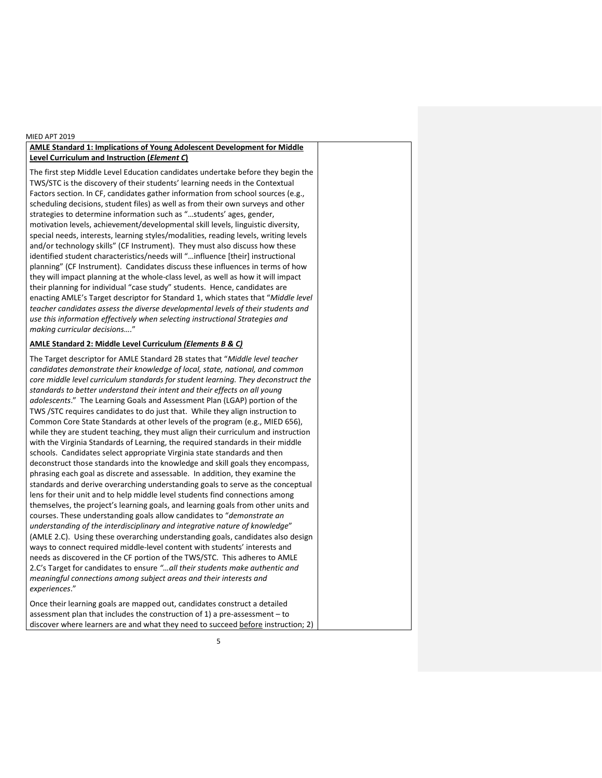## **AMLE Standard 1: Implications of Young Adolescent Development for Middle Level Curriculum and Instruction (***Element C***)**

The first step Middle Level Education candidates undertake before they begin the TWS/STC is the discovery of their students' learning needs in the Contextual Factors section. In CF, candidates gather information from school sources (e.g., scheduling decisions, student files) as well as from their own surveys and other strategies to determine information such as "…students' ages, gender, motivation levels, achievement/developmental skill levels, linguistic diversity, special needs, interests, learning styles/modalities, reading levels, writing levels and/or technology skills" (CF Instrument). They must also discuss how these identified student characteristics/needs will "…influence [their] instructional planning" (CF Instrument). Candidates discuss these influences in terms of how they will impact planning at the whole-class level, as well as how it will impact their planning for individual "case study" students. Hence, candidates are enacting AMLE's Target descriptor for Standard 1, which states that "*Middle level teacher candidates assess the diverse developmental levels of their students and use this information effectively when selecting instructional Strategies and making curricular decisions….*"

## **AMLE Standard 2: Middle Level Curriculum** *(Elements B & C)*

The Target descriptor for AMLE Standard 2B states that "*Middle level teacher candidates demonstrate their knowledge of local, state, national, and common core middle level curriculum standards for student learning. They deconstruct the standards to better understand their intent and their effects on all young adolescents*." The Learning Goals and Assessment Plan (LGAP) portion of the TWS /STC requires candidates to do just that. While they align instruction to Common Core State Standards at other levels of the program (e.g., MIED 656), while they are student teaching, they must align their curriculum and instruction with the Virginia Standards of Learning, the required standards in their middle schools. Candidates select appropriate Virginia state standards and then deconstruct those standards into the knowledge and skill goals they encompass, phrasing each goal as discrete and assessable. In addition, they examine the standards and derive overarching understanding goals to serve as the conceptual lens for their unit and to help middle level students find connections among themselves, the project's learning goals, and learning goals from other units and courses. These understanding goals allow candidates to "*demonstrate an understanding of the interdisciplinary and integrative nature of knowledge*" (AMLE 2.C). Using these overarching understanding goals, candidates also design ways to connect required middle-level content with students' interests and needs as discovered in the CF portion of the TWS/STC. This adheres to AMLE 2.C's Target for candidates to ensure *"…all their students make authentic and meaningful connections among subject areas and their interests and experiences*."

Once their learning goals are mapped out, candidates construct a detailed assessment plan that includes the construction of 1) a pre-assessment – to discover where learners are and what they need to succeed before instruction; 2)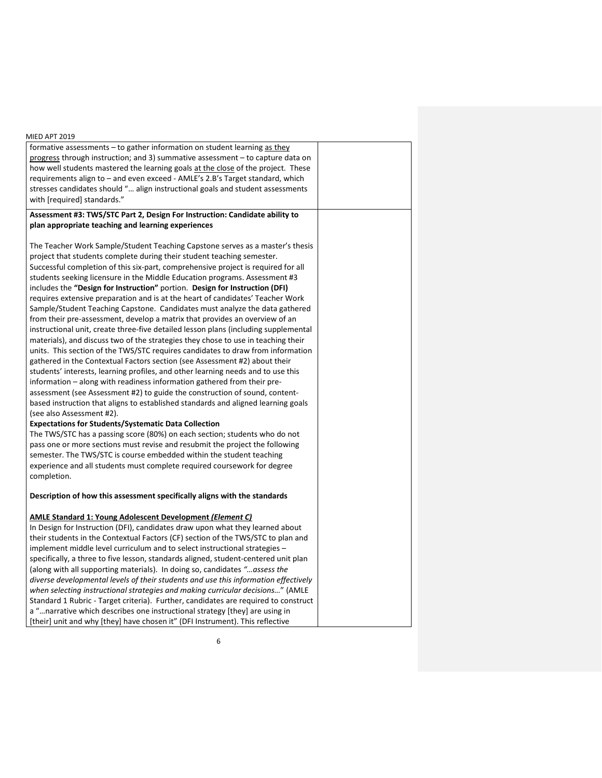| MIED APT 2019                                                                                                                                                     |  |
|-------------------------------------------------------------------------------------------------------------------------------------------------------------------|--|
| formative assessments – to gather information on student learning as they                                                                                         |  |
| progress through instruction; and 3) summative assessment $-$ to capture data on                                                                                  |  |
| how well students mastered the learning goals at the close of the project. These<br>requirements align to - and even exceed - AMLE's 2.B's Target standard, which |  |
| stresses candidates should " align instructional goals and student assessments                                                                                    |  |
| with [required] standards."                                                                                                                                       |  |
|                                                                                                                                                                   |  |
| Assessment #3: TWS/STC Part 2, Design For Instruction: Candidate ability to<br>plan appropriate teaching and learning experiences                                 |  |
|                                                                                                                                                                   |  |
| The Teacher Work Sample/Student Teaching Capstone serves as a master's thesis                                                                                     |  |
| project that students complete during their student teaching semester.                                                                                            |  |
| Successful completion of this six-part, comprehensive project is required for all                                                                                 |  |
| students seeking licensure in the Middle Education programs. Assessment #3                                                                                        |  |
| includes the "Design for Instruction" portion. Design for Instruction (DFI)                                                                                       |  |
| requires extensive preparation and is at the heart of candidates' Teacher Work                                                                                    |  |
| Sample/Student Teaching Capstone. Candidates must analyze the data gathered                                                                                       |  |
| from their pre-assessment, develop a matrix that provides an overview of an                                                                                       |  |
| instructional unit, create three-five detailed lesson plans (including supplemental                                                                               |  |
| materials), and discuss two of the strategies they chose to use in teaching their                                                                                 |  |
| units. This section of the TWS/STC requires candidates to draw from information                                                                                   |  |
| gathered in the Contextual Factors section (see Assessment #2) about their                                                                                        |  |
| students' interests, learning profiles, and other learning needs and to use this                                                                                  |  |
| information - along with readiness information gathered from their pre-                                                                                           |  |
| assessment (see Assessment #2) to guide the construction of sound, content-                                                                                       |  |
| based instruction that aligns to established standards and aligned learning goals                                                                                 |  |
| (see also Assessment #2).                                                                                                                                         |  |
| <b>Expectations for Students/Systematic Data Collection</b>                                                                                                       |  |
| The TWS/STC has a passing score (80%) on each section; students who do not                                                                                        |  |
| pass one or more sections must revise and resubmit the project the following                                                                                      |  |
| semester. The TWS/STC is course embedded within the student teaching                                                                                              |  |
| experience and all students must complete required coursework for degree<br>completion.                                                                           |  |
| Description of how this assessment specifically aligns with the standards                                                                                         |  |
|                                                                                                                                                                   |  |
| <b>AMLE Standard 1: Young Adolescent Development (Element C)</b>                                                                                                  |  |
| In Design for Instruction (DFI), candidates draw upon what they learned about                                                                                     |  |
| their students in the Contextual Factors (CF) section of the TWS/STC to plan and                                                                                  |  |
| implement middle level curriculum and to select instructional strategies -                                                                                        |  |
| specifically, a three to five lesson, standards aligned, student-centered unit plan                                                                               |  |
| (along with all supporting materials). In doing so, candidates "assess the<br>diverse developmental levels of their students and use this information effectively |  |
| when selecting instructional strategies and making curricular decisions" (AMLE                                                                                    |  |
| Standard 1 Rubric - Target criteria). Further, candidates are required to construct                                                                               |  |
| a "narrative which describes one instructional strategy [they] are using in                                                                                       |  |
| [their] unit and why [they] have chosen it" (DFI Instrument). This reflective                                                                                     |  |
|                                                                                                                                                                   |  |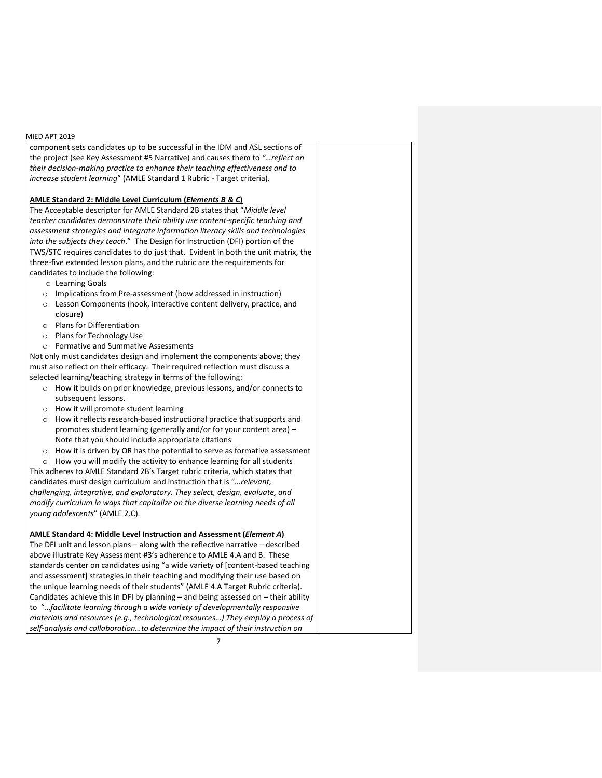component sets candidates up to be successful in the IDM and ASL sections of the project (see Key Assessment #5 Narrative) and causes them to *"…reflect on their decision-making practice to enhance their teaching effectiveness and to increase student learning*" (AMLE Standard 1 Rubric - Target criteria).

## **AMLE Standard 2: Middle Level Curriculum (***Elements B & C***)**

The Acceptable descriptor for AMLE Standard 2B states that "*Middle level teacher candidates demonstrate their ability use content-specific teaching and assessment strategies and integrate information literacy skills and technologies into the subjects they teach*." The Design for Instruction (DFI) portion of the TWS/STC requires candidates to do just that. Evident in both the unit matrix, the three-five extended lesson plans, and the rubric are the requirements for candidates to include the following:

- o Learning Goals
- o Implications from Pre-assessment (how addressed in instruction)
- o Lesson Components (hook, interactive content delivery, practice, and closure)
- o Plans for Differentiation
- o Plans for Technology Use
- o Formative and Summative Assessments

Not only must candidates design and implement the components above; they must also reflect on their efficacy. Their required reflection must discuss a selected learning/teaching strategy in terms of the following:

- o How it builds on prior knowledge, previous lessons, and/or connects to subsequent lessons.
- o How it will promote student learning
- o How it reflects research-based instructional practice that supports and promotes student learning (generally and/or for your content area) – Note that you should include appropriate citations
- o How it is driven by OR has the potential to serve as formative assessment

o How you will modify the activity to enhance learning for all students This adheres to AMLE Standard 2B's Target rubric criteria, which states that candidates must design curriculum and instruction that is "*…relevant, challenging, integrative, and exploratory. They select, design, evaluate, and modify curriculum in ways that capitalize on the diverse learning needs of all young adolescents*" (AMLE 2.C).

## **AMLE Standard 4: Middle Level Instruction and Assessment (***Element A***)**

The DFI unit and lesson plans – along with the reflective narrative – described above illustrate Key Assessment #3's adherence to AMLE 4.A and B. These standards center on candidates using "a wide variety of [content-based teaching and assessment] strategies in their teaching and modifying their use based on the unique learning needs of their students" (AMLE 4.A Target Rubric criteria). Candidates achieve this in DFI by planning – and being assessed on – their ability to "…*facilitate learning through a wide variety of developmentally responsive materials and resources (e.g., technological resources…) They employ a process of self-analysis and collaboration…to determine the impact of their instruction on*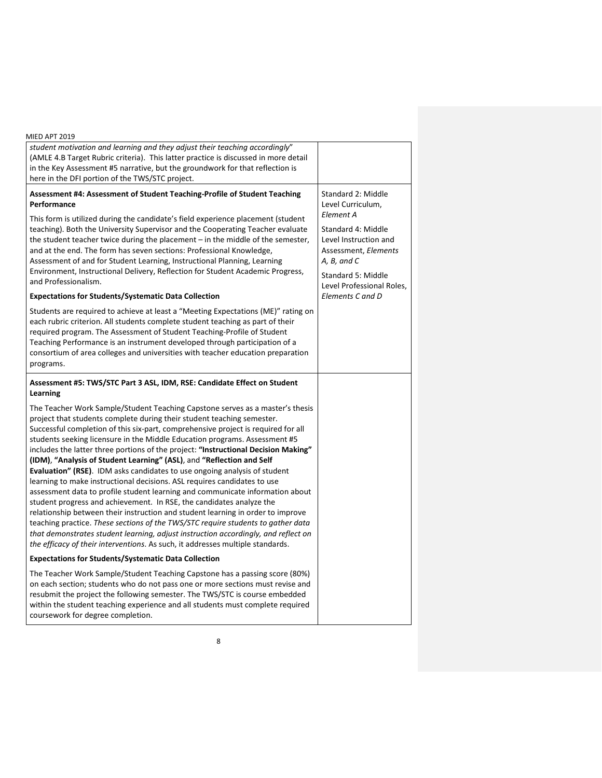| MIED APT 2019                                                                                                                                                                                                                                                                                                                                                                                                                                                                                                                                                                                                                                                                                                                                                                                                                                                                                                                                                                                                                                                                                                                                                     |                                                                                                                                                                                                                   |
|-------------------------------------------------------------------------------------------------------------------------------------------------------------------------------------------------------------------------------------------------------------------------------------------------------------------------------------------------------------------------------------------------------------------------------------------------------------------------------------------------------------------------------------------------------------------------------------------------------------------------------------------------------------------------------------------------------------------------------------------------------------------------------------------------------------------------------------------------------------------------------------------------------------------------------------------------------------------------------------------------------------------------------------------------------------------------------------------------------------------------------------------------------------------|-------------------------------------------------------------------------------------------------------------------------------------------------------------------------------------------------------------------|
| student motivation and learning and they adjust their teaching accordingly"                                                                                                                                                                                                                                                                                                                                                                                                                                                                                                                                                                                                                                                                                                                                                                                                                                                                                                                                                                                                                                                                                       |                                                                                                                                                                                                                   |
| (AMLE 4.B Target Rubric criteria). This latter practice is discussed in more detail                                                                                                                                                                                                                                                                                                                                                                                                                                                                                                                                                                                                                                                                                                                                                                                                                                                                                                                                                                                                                                                                               |                                                                                                                                                                                                                   |
| in the Key Assessment #5 narrative, but the groundwork for that reflection is                                                                                                                                                                                                                                                                                                                                                                                                                                                                                                                                                                                                                                                                                                                                                                                                                                                                                                                                                                                                                                                                                     |                                                                                                                                                                                                                   |
| here in the DFI portion of the TWS/STC project.                                                                                                                                                                                                                                                                                                                                                                                                                                                                                                                                                                                                                                                                                                                                                                                                                                                                                                                                                                                                                                                                                                                   |                                                                                                                                                                                                                   |
| Assessment #4: Assessment of Student Teaching-Profile of Student Teaching<br>Performance<br>This form is utilized during the candidate's field experience placement (student<br>teaching). Both the University Supervisor and the Cooperating Teacher evaluate<br>the student teacher twice during the placement – in the middle of the semester,<br>and at the end. The form has seven sections: Professional Knowledge,<br>Assessment of and for Student Learning, Instructional Planning, Learning<br>Environment, Instructional Delivery, Reflection for Student Academic Progress,<br>and Professionalism.<br><b>Expectations for Students/Systematic Data Collection</b>                                                                                                                                                                                                                                                                                                                                                                                                                                                                                    | Standard 2: Middle<br>Level Curriculum,<br>Element A<br>Standard 4: Middle<br>Level Instruction and<br>Assessment, Elements<br>A, B, and C<br>Standard 5: Middle<br>Level Professional Roles,<br>Elements C and D |
|                                                                                                                                                                                                                                                                                                                                                                                                                                                                                                                                                                                                                                                                                                                                                                                                                                                                                                                                                                                                                                                                                                                                                                   |                                                                                                                                                                                                                   |
| Students are required to achieve at least a "Meeting Expectations (ME)" rating on<br>each rubric criterion. All students complete student teaching as part of their<br>required program. The Assessment of Student Teaching-Profile of Student<br>Teaching Performance is an instrument developed through participation of a<br>consortium of area colleges and universities with teacher education preparation<br>programs.                                                                                                                                                                                                                                                                                                                                                                                                                                                                                                                                                                                                                                                                                                                                      |                                                                                                                                                                                                                   |
| Assessment #5: TWS/STC Part 3 ASL, IDM, RSE: Candidate Effect on Student<br>Learning                                                                                                                                                                                                                                                                                                                                                                                                                                                                                                                                                                                                                                                                                                                                                                                                                                                                                                                                                                                                                                                                              |                                                                                                                                                                                                                   |
| The Teacher Work Sample/Student Teaching Capstone serves as a master's thesis<br>project that students complete during their student teaching semester.<br>Successful completion of this six-part, comprehensive project is required for all<br>students seeking licensure in the Middle Education programs. Assessment #5<br>includes the latter three portions of the project: "Instructional Decision Making"<br>(IDM), "Analysis of Student Learning" (ASL), and "Reflection and Self<br><b>Evaluation" (RSE).</b> IDM asks candidates to use ongoing analysis of student<br>learning to make instructional decisions. ASL requires candidates to use<br>assessment data to profile student learning and communicate information about<br>student progress and achievement. In RSE, the candidates analyze the<br>relationship between their instruction and student learning in order to improve<br>teaching practice. These sections of the TWS/STC require students to gather data<br>that demonstrates student learning, adjust instruction accordingly, and reflect on<br>the efficacy of their interventions. As such, it addresses multiple standards. |                                                                                                                                                                                                                   |
| <b>Expectations for Students/Systematic Data Collection</b>                                                                                                                                                                                                                                                                                                                                                                                                                                                                                                                                                                                                                                                                                                                                                                                                                                                                                                                                                                                                                                                                                                       |                                                                                                                                                                                                                   |
| The Teacher Work Sample/Student Teaching Capstone has a passing score (80%)<br>on each section; students who do not pass one or more sections must revise and<br>resubmit the project the following semester. The TWS/STC is course embedded<br>within the student teaching experience and all students must complete required<br>coursework for degree completion.                                                                                                                                                                                                                                                                                                                                                                                                                                                                                                                                                                                                                                                                                                                                                                                               |                                                                                                                                                                                                                   |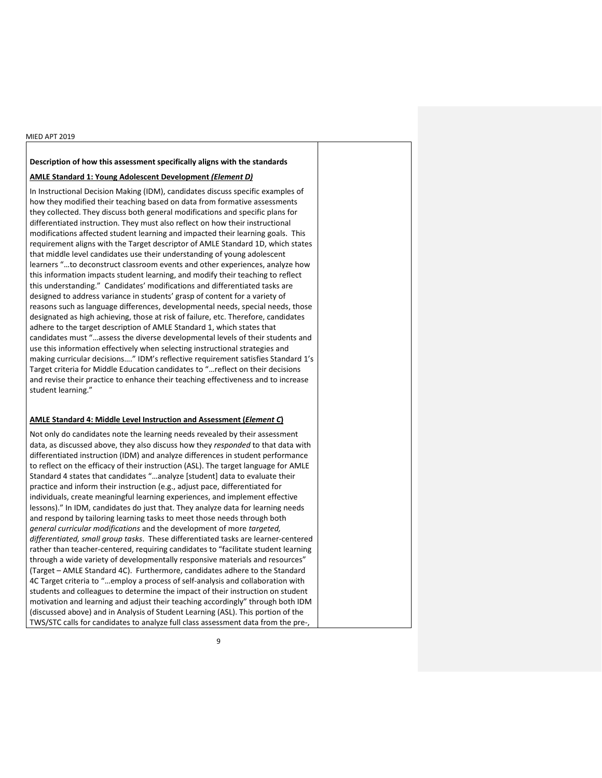## **Description of how this assessment specifically aligns with the standards**

## **AMLE Standard 1: Young Adolescent Development** *(Element D)*

In Instructional Decision Making (IDM), candidates discuss specific examples of how they modified their teaching based on data from formative assessments they collected. They discuss both general modifications and specific plans for differentiated instruction. They must also reflect on how their instructional modifications affected student learning and impacted their learning goals. This requirement aligns with the Target descriptor of AMLE Standard 1D, which states that middle level candidates use their understanding of young adolescent learners "…to deconstruct classroom events and other experiences, analyze how this information impacts student learning, and modify their teaching to reflect this understanding." Candidates' modifications and differentiated tasks are designed to address variance in students' grasp of content for a variety of reasons such as language differences, developmental needs, special needs, those designated as high achieving, those at risk of failure, etc. Therefore, candidates adhere to the target description of AMLE Standard 1, which states that candidates must "…assess the diverse developmental levels of their students and use this information effectively when selecting instructional strategies and making curricular decisions…." IDM's reflective requirement satisfies Standard 1's Target criteria for Middle Education candidates to "…reflect on their decisions and revise their practice to enhance their teaching effectiveness and to increase student learning."

## **AMLE Standard 4: Middle Level Instruction and Assessment (***Element C***)**

Not only do candidates note the learning needs revealed by their assessment data, as discussed above, they also discuss how they *responded* to that data with differentiated instruction (IDM) and analyze differences in student performance to reflect on the efficacy of their instruction (ASL). The target language for AMLE Standard 4 states that candidates "…analyze [student] data to evaluate their practice and inform their instruction (e.g., adjust pace, differentiated for individuals, create meaningful learning experiences, and implement effective lessons)." In IDM, candidates do just that. They analyze data for learning needs and respond by tailoring learning tasks to meet those needs through both *general curricular modifications* and the development of more *targeted, differentiated, small group tasks*. These differentiated tasks are learner-centered rather than teacher-centered, requiring candidates to "facilitate student learning through a wide variety of developmentally responsive materials and resources" (Target – AMLE Standard 4C). Furthermore, candidates adhere to the Standard 4C Target criteria to "…employ a process of self-analysis and collaboration with students and colleagues to determine the impact of their instruction on student motivation and learning and adjust their teaching accordingly" through both IDM (discussed above) and in Analysis of Student Learning (ASL). This portion of the TWS/STC calls for candidates to analyze full class assessment data from the pre-,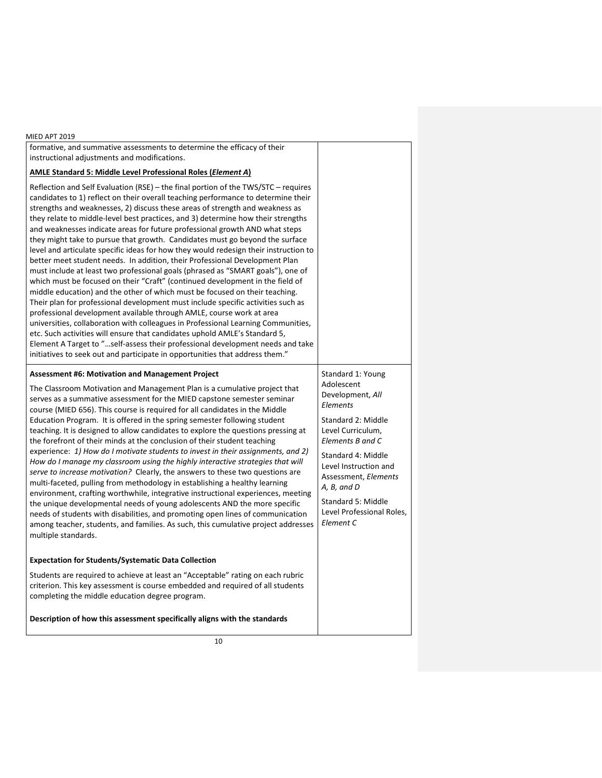| <b>MIED APT 2019</b>                                                                                                                                                                                                                                                                                                                                                                                                                                                                                                                                                                                                                                                                                                                                                                                                                                                                                                                                                                                                                                                                                                                                                                                                                                                                                                                                                                                                                  |                                                                                                                                                                                                                                                                                      |
|---------------------------------------------------------------------------------------------------------------------------------------------------------------------------------------------------------------------------------------------------------------------------------------------------------------------------------------------------------------------------------------------------------------------------------------------------------------------------------------------------------------------------------------------------------------------------------------------------------------------------------------------------------------------------------------------------------------------------------------------------------------------------------------------------------------------------------------------------------------------------------------------------------------------------------------------------------------------------------------------------------------------------------------------------------------------------------------------------------------------------------------------------------------------------------------------------------------------------------------------------------------------------------------------------------------------------------------------------------------------------------------------------------------------------------------|--------------------------------------------------------------------------------------------------------------------------------------------------------------------------------------------------------------------------------------------------------------------------------------|
| formative, and summative assessments to determine the efficacy of their<br>instructional adjustments and modifications.                                                                                                                                                                                                                                                                                                                                                                                                                                                                                                                                                                                                                                                                                                                                                                                                                                                                                                                                                                                                                                                                                                                                                                                                                                                                                                               |                                                                                                                                                                                                                                                                                      |
| AMLE Standard 5: Middle Level Professional Roles (Element A)                                                                                                                                                                                                                                                                                                                                                                                                                                                                                                                                                                                                                                                                                                                                                                                                                                                                                                                                                                                                                                                                                                                                                                                                                                                                                                                                                                          |                                                                                                                                                                                                                                                                                      |
| Reflection and Self Evaluation (RSE) - the final portion of the TWS/STC - requires<br>candidates to 1) reflect on their overall teaching performance to determine their<br>strengths and weaknesses, 2) discuss these areas of strength and weakness as<br>they relate to middle-level best practices, and 3) determine how their strengths<br>and weaknesses indicate areas for future professional growth AND what steps<br>they might take to pursue that growth. Candidates must go beyond the surface<br>level and articulate specific ideas for how they would redesign their instruction to<br>better meet student needs. In addition, their Professional Development Plan<br>must include at least two professional goals (phrased as "SMART goals"), one of<br>which must be focused on their "Craft" (continued development in the field of<br>middle education) and the other of which must be focused on their teaching.<br>Their plan for professional development must include specific activities such as<br>professional development available through AMLE, course work at area<br>universities, collaboration with colleagues in Professional Learning Communities,<br>etc. Such activities will ensure that candidates uphold AMLE's Standard 5,<br>Element A Target to "self-assess their professional development needs and take<br>initiatives to seek out and participate in opportunities that address them." |                                                                                                                                                                                                                                                                                      |
| <b>Assessment #6: Motivation and Management Project</b><br>The Classroom Motivation and Management Plan is a cumulative project that<br>serves as a summative assessment for the MIED capstone semester seminar<br>course (MIED 656). This course is required for all candidates in the Middle<br>Education Program. It is offered in the spring semester following student<br>teaching. It is designed to allow candidates to explore the questions pressing at<br>the forefront of their minds at the conclusion of their student teaching<br>experience: 1) How do I motivate students to invest in their assignments, and 2)<br>How do I manage my classroom using the highly interactive strategies that will<br>serve to increase motivation? Clearly, the answers to these two questions are<br>multi-faceted, pulling from methodology in establishing a healthy learning<br>environment, crafting worthwhile, integrative instructional experiences, meeting<br>the unique developmental needs of young adolescents AND the more specific<br>needs of students with disabilities, and promoting open lines of communication<br>among teacher, students, and families. As such, this cumulative project addresses                                                                                                                                                                                                             | Standard 1: Young<br>Adolescent<br>Development, All<br>Elements<br>Standard 2: Middle<br>Level Curriculum,<br>Elements B and C<br>Standard 4: Middle<br>Level Instruction and<br>Assessment, Elements<br>A, B, and D<br>Standard 5: Middle<br>Level Professional Roles,<br>Element C |
| multiple standards.<br><b>Expectation for Students/Systematic Data Collection</b>                                                                                                                                                                                                                                                                                                                                                                                                                                                                                                                                                                                                                                                                                                                                                                                                                                                                                                                                                                                                                                                                                                                                                                                                                                                                                                                                                     |                                                                                                                                                                                                                                                                                      |
| Students are required to achieve at least an "Acceptable" rating on each rubric<br>criterion. This key assessment is course embedded and required of all students<br>completing the middle education degree program.                                                                                                                                                                                                                                                                                                                                                                                                                                                                                                                                                                                                                                                                                                                                                                                                                                                                                                                                                                                                                                                                                                                                                                                                                  |                                                                                                                                                                                                                                                                                      |
| Description of how this assessment specifically aligns with the standards                                                                                                                                                                                                                                                                                                                                                                                                                                                                                                                                                                                                                                                                                                                                                                                                                                                                                                                                                                                                                                                                                                                                                                                                                                                                                                                                                             |                                                                                                                                                                                                                                                                                      |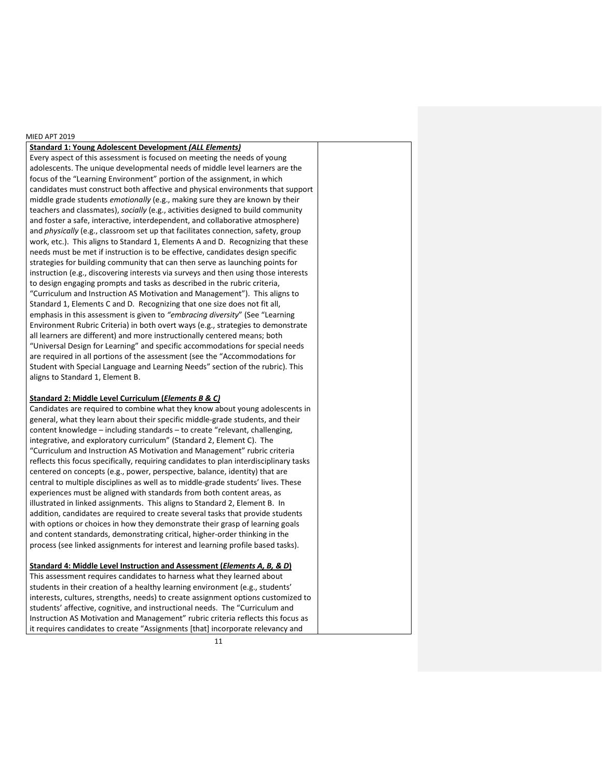## **Standard 1: Young Adolescent Development** *(ALL Elements)*

Every aspect of this assessment is focused on meeting the needs of young adolescents. The unique developmental needs of middle level learners are the focus of the "Learning Environment" portion of the assignment, in which candidates must construct both affective and physical environments that support middle grade students *emotionally* (e.g., making sure they are known by their teachers and classmates), *socially* (e.g., activities designed to build community and foster a safe, interactive, interdependent, and collaborative atmosphere) and *physically* (e.g., classroom set up that facilitates connection, safety, group work, etc.). This aligns to Standard 1, Elements A and D. Recognizing that these needs must be met if instruction is to be effective, candidates design specific strategies for building community that can then serve as launching points for instruction (e.g., discovering interests via surveys and then using those interests to design engaging prompts and tasks as described in the rubric criteria, "Curriculum and Instruction AS Motivation and Management"). This aligns to Standard 1, Elements C and D. Recognizing that one size does not fit all, emphasis in this assessment is given to *"embracing diversity*" (See "Learning Environment Rubric Criteria) in both overt ways (e.g., strategies to demonstrate all learners are different) and more instructionally centered means; both "Universal Design for Learning" and specific accommodations for special needs are required in all portions of the assessment (see the "Accommodations for Student with Special Language and Learning Needs" section of the rubric). This aligns to Standard 1, Element B.

### **Standard 2: Middle Level Curriculum (***Elements B & C)*

Candidates are required to combine what they know about young adolescents in general, what they learn about their specific middle-grade students, and their content knowledge – including standards – to create "relevant, challenging, integrative, and exploratory curriculum" (Standard 2, Element C). The "Curriculum and Instruction AS Motivation and Management" rubric criteria reflects this focus specifically, requiring candidates to plan interdisciplinary tasks centered on concepts (e.g., power, perspective, balance, identity) that are central to multiple disciplines as well as to middle-grade students' lives. These experiences must be aligned with standards from both content areas, as illustrated in linked assignments. This aligns to Standard 2, Element B. In addition, candidates are required to create several tasks that provide students with options or choices in how they demonstrate their grasp of learning goals and content standards, demonstrating critical, higher-order thinking in the process (see linked assignments for interest and learning profile based tasks).

## **Standard 4: Middle Level Instruction and Assessment (***Elements A, B, & D***)**

This assessment requires candidates to harness what they learned about students in their creation of a healthy learning environment (e.g., students' interests, cultures, strengths, needs) to create assignment options customized to students' affective, cognitive, and instructional needs. The "Curriculum and Instruction AS Motivation and Management" rubric criteria reflects this focus as it requires candidates to create "Assignments [that] incorporate relevancy and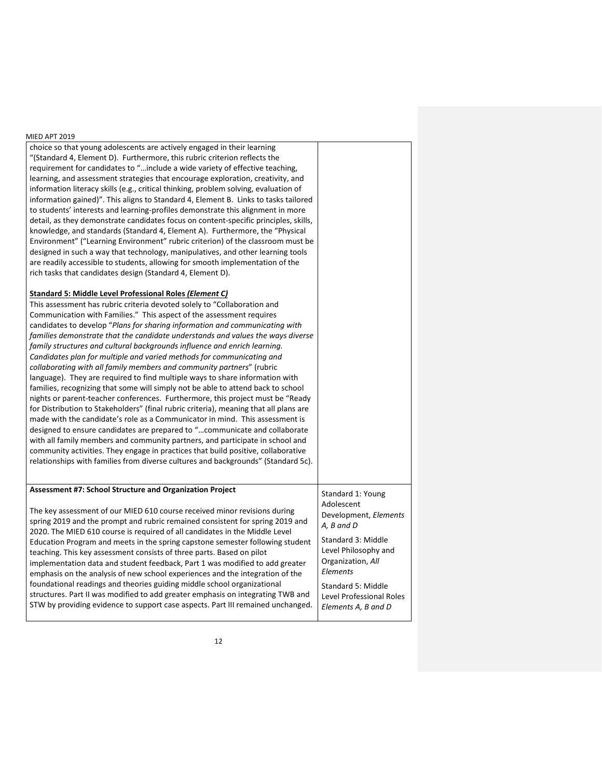choice so that young adolescents are actively engaged in their learning "(Standard 4, Element D). Furthermore, this rubric criterion reflects the requirement for candidates to "…include a wide variety of effective teaching, learning, and assessment strategies that encourage exploration, creativity, and information literacy skills (e.g., critical thinking, problem solving, evaluation of information gained)". This aligns to Standard 4, Element B. Links to tasks tailored to students' interests and learning-profiles demonstrate this alignment in more detail, as they demonstrate candidates focus on content-specific principles, skills, knowledge, and standards (Standard 4, Element A). Furthermore, the "Physical Environment" ("Learning Environment" rubric criterion) of the classroom must be designed in such a way that technology, manipulatives, and other learning tools are readily accessible to students, allowing for smooth implementation of the rich tasks that candidates design (Standard 4, Element D).

### **Standard 5: Middle Level Professional Roles** *(Element C)*

| This assessment has rubric criteria devoted solely to "Collaboration and              |                       |
|---------------------------------------------------------------------------------------|-----------------------|
| Communication with Families." This aspect of the assessment requires                  |                       |
| candidates to develop "Plans for sharing information and communicating with           |                       |
| families demonstrate that the candidate understands and values the ways diverse       |                       |
| family structures and cultural backgrounds influence and enrich learning.             |                       |
| Candidates plan for multiple and varied methods for communicating and                 |                       |
| collaborating with all family members and community partners" (rubric                 |                       |
| language). They are required to find multiple ways to share information with          |                       |
| families, recognizing that some will simply not be able to attend back to school      |                       |
| nights or parent-teacher conferences. Furthermore, this project must be "Ready"       |                       |
| for Distribution to Stakeholders" (final rubric criteria), meaning that all plans are |                       |
| made with the candidate's role as a Communicator in mind. This assessment is          |                       |
| designed to ensure candidates are prepared to "communicate and collaborate            |                       |
| with all family members and community partners, and participate in school and         |                       |
| community activities. They engage in practices that build positive, collaborative     |                       |
| relationships with families from diverse cultures and backgrounds" (Standard 5c).     |                       |
|                                                                                       |                       |
|                                                                                       |                       |
| Assessment #7: School Structure and Organization Project                              | Standard 1: Young     |
|                                                                                       | Adolescent            |
| The key assessment of our MIED 610 course received minor revisions during             | Development, Elements |
| spring 2019 and the prompt and rubric remained consistent for spring 2019 and         | $A$ R and D           |

2020. The MIED 610 course is required of all candidates in the Middle Level Education Program and meets in the spring capstone semester following student teaching. This key assessment consists of three parts. Based on pilot implementation data and student feedback, Part 1 was modified to add greater emphasis on the analysis of new school experiences and the integration of the foundational readings and theories guiding middle school organizational structures. Part II was modified to add greater emphasis on integrating TWB and STW by providing evidence to support case aspects. Part III remained unchanged. *A, B and D* Standard 3: Middle Level Philosophy and Organization, *All Elements* Standard 5: Middle Level Professional Roles *Elements A, B and D*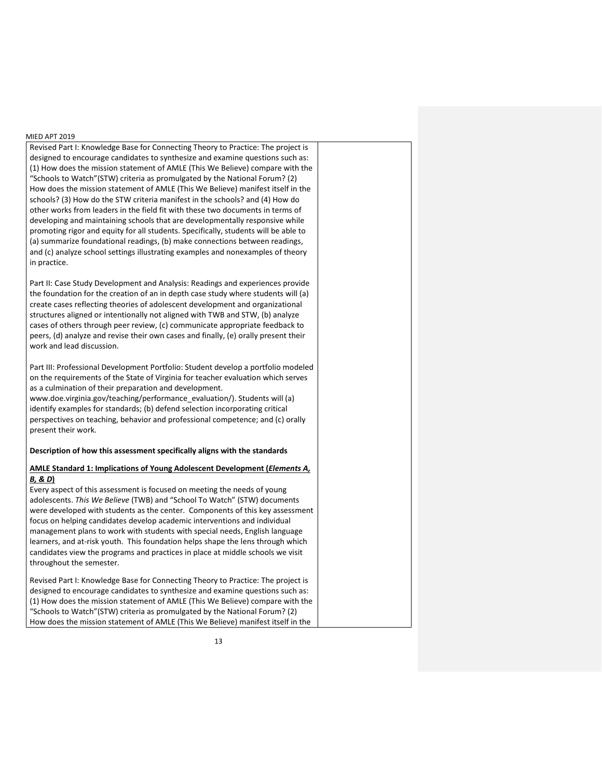Revised Part I: Knowledge Base for Connecting Theory to Practice: The project is designed to encourage candidates to synthesize and examine questions such as: (1) How does the mission statement of AMLE (This We Believe) compare with the "Schools to Watch"(STW) criteria as promulgated by the National Forum? (2) How does the mission statement of AMLE (This We Believe) manifest itself in the schools? (3) How do the STW criteria manifest in the schools? and (4) How do other works from leaders in the field fit with these two documents in terms of developing and maintaining schools that are developmentally responsive while promoting rigor and equity for all students. Specifically, students will be able to (a) summarize foundational readings, (b) make connections between readings, and (c) analyze school settings illustrating examples and nonexamples of theory in practice.

Part II: Case Study Development and Analysis: Readings and experiences provide the foundation for the creation of an in depth case study where students will (a) create cases reflecting theories of adolescent development and organizational structures aligned or intentionally not aligned with TWB and STW, (b) analyze cases of others through peer review, (c) communicate appropriate feedback to peers, (d) analyze and revise their own cases and finally, (e) orally present their work and lead discussion.

Part III: Professional Development Portfolio: Student develop a portfolio modeled on the requirements of the State of Virginia for teacher evaluation which serves as a culmination of their preparation and development.

www.doe.virginia.gov/teaching/performance\_evaluation/). Students will (a) identify examples for standards; (b) defend selection incorporating critical perspectives on teaching, behavior and professional competence; and (c) orally present their work.

### **Description of how this assessment specifically aligns with the standards**

## **AMLE Standard 1: Implications of Young Adolescent Development (***Elements A, B, & D***)**

Every aspect of this assessment is focused on meeting the needs of young adolescents. *This We Believe* (TWB) and "School To Watch" (STW) documents were developed with students as the center. Components of this key assessment focus on helping candidates develop academic interventions and individual management plans to work with students with special needs, English language learners, and at-risk youth. This foundation helps shape the lens through which candidates view the programs and practices in place at middle schools we visit throughout the semester.

Revised Part I: Knowledge Base for Connecting Theory to Practice: The project is designed to encourage candidates to synthesize and examine questions such as: (1) How does the mission statement of AMLE (This We Believe) compare with the "Schools to Watch"(STW) criteria as promulgated by the National Forum? (2) How does the mission statement of AMLE (This We Believe) manifest itself in the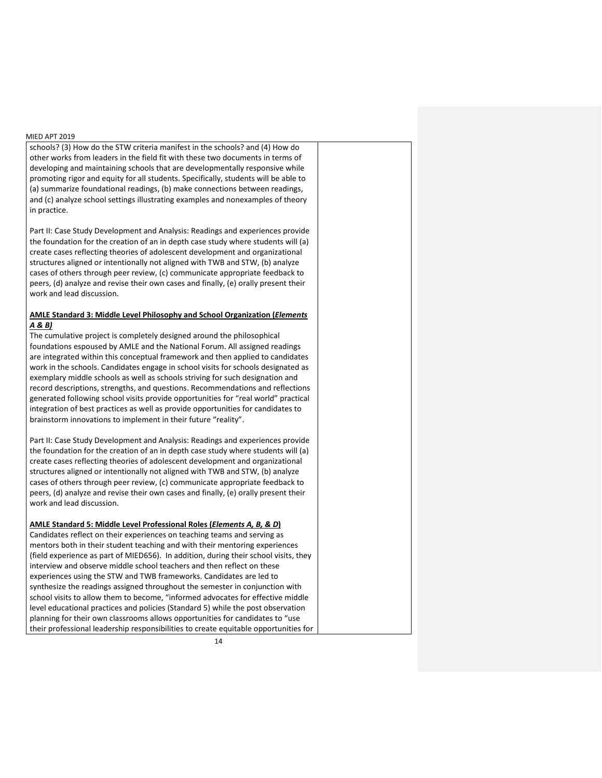schools? (3) How do the STW criteria manifest in the schools? and (4) How do other works from leaders in the field fit with these two documents in terms of developing and maintaining schools that are developmentally responsive while promoting rigor and equity for all students. Specifically, students will be able to (a) summarize foundational readings, (b) make connections between readings, and (c) analyze school settings illustrating examples and nonexamples of theory in practice.

Part II: Case Study Development and Analysis: Readings and experiences provide the foundation for the creation of an in depth case study where students will (a) create cases reflecting theories of adolescent development and organizational structures aligned or intentionally not aligned with TWB and STW, (b) analyze cases of others through peer review, (c) communicate appropriate feedback to peers, (d) analyze and revise their own cases and finally, (e) orally present their work and lead discussion.

## **AMLE Standard 3: Middle Level Philosophy and School Organization (***Elements A & B)*

The cumulative project is completely designed around the philosophical foundations espoused by AMLE and the National Forum. All assigned readings are integrated within this conceptual framework and then applied to candidates work in the schools. Candidates engage in school visits for schools designated as exemplary middle schools as well as schools striving for such designation and record descriptions, strengths, and questions. Recommendations and reflections generated following school visits provide opportunities for "real world" practical integration of best practices as well as provide opportunities for candidates to brainstorm innovations to implement in their future "reality".

Part II: Case Study Development and Analysis: Readings and experiences provide the foundation for the creation of an in depth case study where students will (a) create cases reflecting theories of adolescent development and organizational structures aligned or intentionally not aligned with TWB and STW, (b) analyze cases of others through peer review, (c) communicate appropriate feedback to peers, (d) analyze and revise their own cases and finally, (e) orally present their work and lead discussion.

## **AMLE Standard 5: Middle Level Professional Roles (***Elements A, B, & D***)**

Candidates reflect on their experiences on teaching teams and serving as mentors both in their student teaching and with their mentoring experiences (field experience as part of MIED656). In addition, during their school visits, they interview and observe middle school teachers and then reflect on these experiences using the STW and TWB frameworks. Candidates are led to synthesize the readings assigned throughout the semester in conjunction with school visits to allow them to become, "informed advocates for effective middle level educational practices and policies (Standard 5) while the post observation planning for their own classrooms allows opportunities for candidates to "use their professional leadership responsibilities to create equitable opportunities for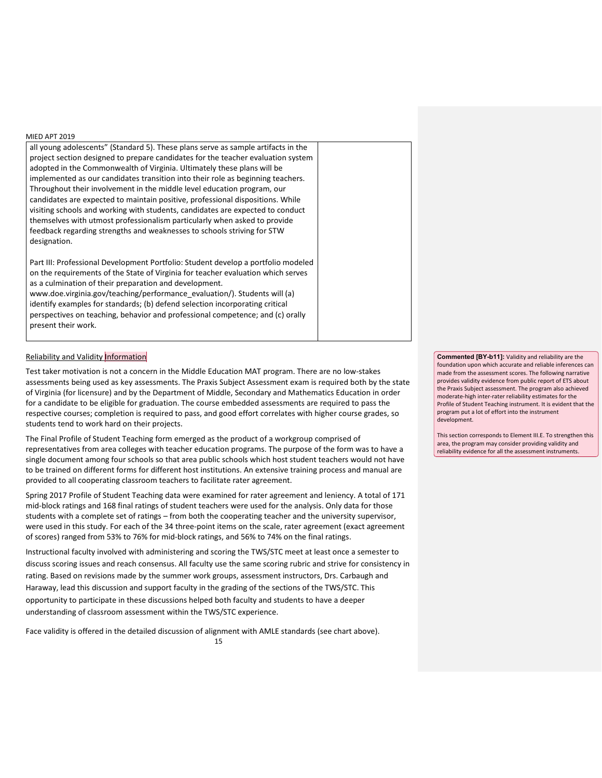all young adolescents" (Standard 5). These plans serve as sample artifacts in the project section designed to prepare candidates for the teacher evaluation system adopted in the Commonwealth of Virginia. Ultimately these plans will be implemented as our candidates transition into their role as beginning teachers. Throughout their involvement in the middle level education program, our candidates are expected to maintain positive, professional dispositions. While visiting schools and working with students, candidates are expected to conduct themselves with utmost professionalism particularly when asked to provide feedback regarding strengths and weaknesses to schools striving for STW designation.

Part III: Professional Development Portfolio: Student develop a portfolio modeled on the requirements of the State of Virginia for teacher evaluation which serves as a culmination of their preparation and development.

www.doe.virginia.gov/teaching/performance\_evaluation/). Students will (a) identify examples for standards; (b) defend selection incorporating critical perspectives on teaching, behavior and professional competence; and (c) orally present their work.

## **Reliability and Validity Information**

Test taker motivation is not a concern in the Middle Education MAT program. There are no low-stakes assessments being used as key assessments. The Praxis Subject Assessment exam is required both by the state of Virginia (for licensure) and by the Department of Middle, Secondary and Mathematics Education in order for a candidate to be eligible for graduation. The course embedded assessments are required to pass the respective courses; completion is required to pass, and good effort correlates with higher course grades, so students tend to work hard on their projects.

The Final Profile of Student Teaching form emerged as the product of a workgroup comprised of representatives from area colleges with teacher education programs. The purpose of the form was to have a single document among four schools so that area public schools which host student teachers would not have to be trained on different forms for different host institutions. An extensive training process and manual are provided to all cooperating classroom teachers to facilitate rater agreement.

Spring 2017 Profile of Student Teaching data were examined for rater agreement and leniency. A total of 171 mid-block ratings and 168 final ratings of student teachers were used for the analysis. Only data for those students with a complete set of ratings – from both the cooperating teacher and the university supervisor, were used in this study. For each of the 34 three-point items on the scale, rater agreement (exact agreement of scores) ranged from 53% to 76% for mid-block ratings, and 56% to 74% on the final ratings.

Instructional faculty involved with administering and scoring the TWS/STC meet at least once a semester to discuss scoring issues and reach consensus. All faculty use the same scoring rubric and strive for consistency in rating. Based on revisions made by the summer work groups, assessment instructors, Drs. Carbaugh and Haraway, lead this discussion and support faculty in the grading of the sections of the TWS/STC. This opportunity to participate in these discussions helped both faculty and students to have a deeper understanding of classroom assessment within the TWS/STC experience.

Face validity is offered in the detailed discussion of alignment with AMLE standards (see chart above).

15

**Commented [BY-b11]:** Validity and reliability are the foundation upon which accurate and reliable inferences can made from the assessment scores. The following narrative provides validity evidence from public report of ETS about the Praxis Subject assessment. The program also achieved moderate-high inter-rater reliability estimates for the Profile of Student Teaching instrument. It is evident that the program put a lot of effort into the instrument development.

This section corresponds to Element III.E. To strengthen this area, the program may consider providing validity and reliability evidence for all the assessment instruments.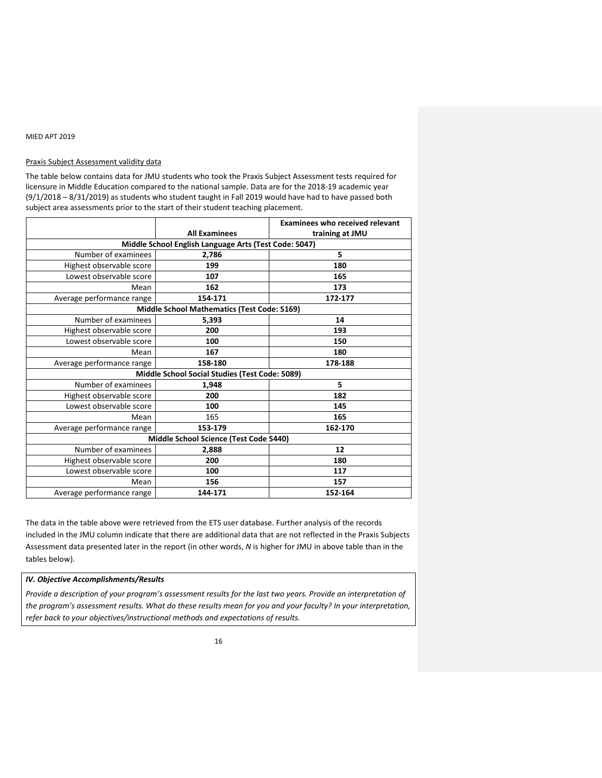## Praxis Subject Assessment validity data

The table below contains data for JMU students who took the Praxis Subject Assessment tests required for licensure in Middle Education compared to the national sample. Data are for the 2018-19 academic year (9/1/2018 – 8/31/2019) as students who student taught in Fall 2019 would have had to have passed both subject area assessments prior to the start of their student teaching placement.

|                                                |                                                       | <b>Examinees who received relevant</b> |  |  |
|------------------------------------------------|-------------------------------------------------------|----------------------------------------|--|--|
|                                                | <b>All Examinees</b>                                  | training at JMU                        |  |  |
|                                                | Middle School English Language Arts (Test Code: 5047) |                                        |  |  |
| Number of examinees                            | 2,786                                                 | 5                                      |  |  |
| Highest observable score                       | 199                                                   | 180                                    |  |  |
| Lowest observable score                        | 107                                                   | 165                                    |  |  |
| Mean                                           | 162                                                   | 173                                    |  |  |
| Average performance range                      | 154-171                                               | 172-177                                |  |  |
|                                                | Middle School Mathematics (Test Code: 5169)           |                                        |  |  |
| Number of examinees                            | 5,393                                                 | 14                                     |  |  |
| Highest observable score                       | 200                                                   | 193                                    |  |  |
| Lowest observable score                        | 100                                                   | 150                                    |  |  |
| Mean                                           | 167                                                   | 180                                    |  |  |
| Average performance range                      | 158-180                                               | 178-188                                |  |  |
| Middle School Social Studies (Test Code: 5089) |                                                       |                                        |  |  |
| Number of examinees<br>5<br>1,948              |                                                       |                                        |  |  |
| Highest observable score                       | 200                                                   | 182                                    |  |  |
| Lowest observable score                        | 100                                                   | 145                                    |  |  |
| Mean                                           | 165                                                   | 165                                    |  |  |
| Average performance range                      | 153-179                                               | 162-170                                |  |  |
|                                                | Middle School Science (Test Code 5440)                |                                        |  |  |
| Number of examinees                            | 2,888                                                 | 12                                     |  |  |
| Highest observable score                       | 200                                                   | 180                                    |  |  |
| Lowest observable score                        | 100                                                   | 117                                    |  |  |
| Mean                                           | 156                                                   | 157                                    |  |  |
| Average performance range                      | 144-171                                               | 152-164                                |  |  |

The data in the table above were retrieved from the ETS user database. Further analysis of the records included in the JMU column indicate that there are additional data that are not reflected in the Praxis Subjects Assessment data presented later in the report (in other words, *N* is higher for JMU in above table than in the tables below).

## *IV. Objective Accomplishments/Results*

*Provide a description of your program's assessment results for the last two years. Provide an interpretation of the program's assessment results. What do these results mean for you and your faculty? In your interpretation, refer back to your objectives/instructional methods and expectations of results.*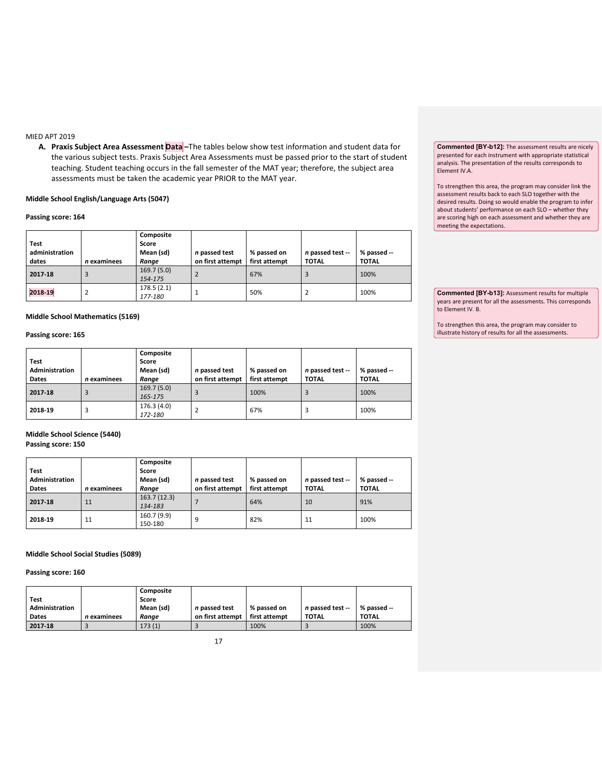**A. Praxis Subject Area Assessment Data –**The tables below show test information and student data for the various subject tests. Praxis Subject Area Assessments must be passed prior to the start of student teaching. Student teaching occurs in the fall semester of the MAT year; therefore, the subject area assessments must be taken the academic year PRIOR to the MAT year.

## **Middle School English/Language Arts (5047)**

## **Passing score: 164**

| <b>Test</b><br>administration<br>dates | n examinees | Composite<br>Score<br>Mean (sd)<br>Range | n passed test<br>on first attempt | % passed on<br>first attempt | n passed test --<br><b>TOTAL</b> | % passed --<br><b>TOTAL</b> |
|----------------------------------------|-------------|------------------------------------------|-----------------------------------|------------------------------|----------------------------------|-----------------------------|
| 2017-18                                |             | 169.7(5.0)<br>154-175                    |                                   | 67%                          |                                  | 100%                        |
| 2018-19                                |             | 178.5(2.1)<br>177-180                    |                                   | 50%                          |                                  | 100%                        |

### **Middle School Mathematics (5169)**

## **Passing score: 165**

| Test<br>Administration |             | Composite<br>Score<br>Mean (sd) | n passed test    | % passed on   | n passed test -- | % passed --  |
|------------------------|-------------|---------------------------------|------------------|---------------|------------------|--------------|
| <b>Dates</b>           | n examinees | Range                           | on first attempt | first attempt | <b>TOTAL</b>     | <b>TOTAL</b> |
| 2017-18                |             | 169.7(5.0)<br>165-175           |                  | 100%          |                  | 100%         |
| 2018-19                | 3           | 176.3(4.0)<br>172-180           |                  | 67%           | 3                | 100%         |

## **Middle School Science (5440) Passing score: 150**

| Test           |             | Composite<br>Score     |                  |               |                  |              |
|----------------|-------------|------------------------|------------------|---------------|------------------|--------------|
| Administration |             | Mean (sd)              | n passed test    | % passed on   | n passed test -- | % passed --  |
| Dates          | n examinees | Range                  | on first attempt | first attempt | <b>TOTAL</b>     | <b>TOTAL</b> |
| 2017-18        | 11          | 163.7(12.3)<br>134-183 |                  | 64%           | 10               | 91%          |
| 2018-19        | 11          | 160.7 (9.9)<br>150-180 | 9                | 82%           | 11               | 100%         |

### **Middle School Social Studies (5089)**

**Passing score: 160**

| <b>Test</b><br>Administration<br>Dates | n examinees | Composite<br>Score<br>Mean (sd)<br>Range | n passed test<br>on first attempt | % passed on<br>first attempt | n passed test --<br><b>TOTAL</b> | % passed --<br><b>TOTAL</b> |
|----------------------------------------|-------------|------------------------------------------|-----------------------------------|------------------------------|----------------------------------|-----------------------------|
| 2017-18                                |             | 173(1)                                   |                                   | 100%                         |                                  | 100%                        |

**Commented [BY-b12]:** The assessment results are nicely presented for each instrument with appropriate statistical analysis. The presentation of the results corresponds to Element IV.A.

To strengthen this area, the program may consider link the assessment results back to each SLO together with the desired results. Doing so would enable the program to infer about students' performance on each SLO – whether they are scoring high on each assessment and whether they are meeting the expectations.

**Commented [BY-b13]:** Assessment results for multiple years are present for all the assessments. This corresponds to Element IV. B.

To strengthen this area, the program may consider to illustrate history of results for all the assessments.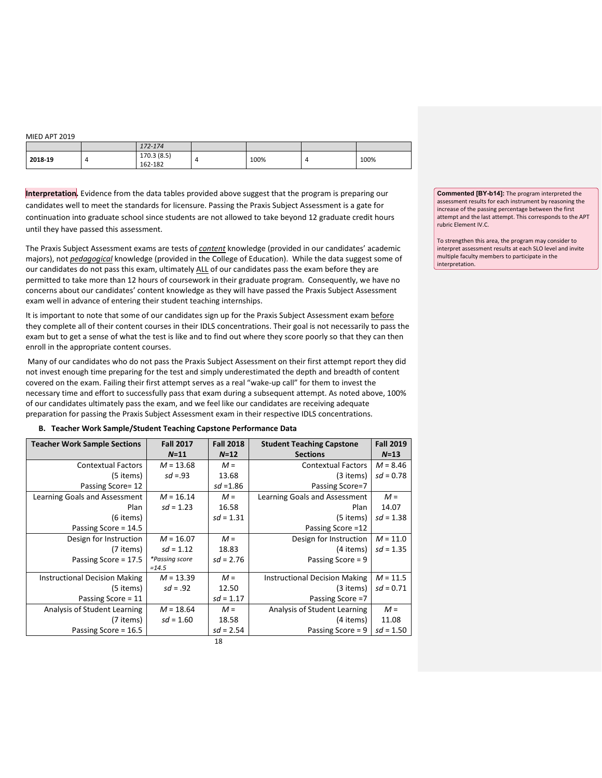|         | 172-174               |      |   |      |
|---------|-----------------------|------|---|------|
| 2018-19 | 170.3(8.5)<br>162-182 | 100% | 4 | 100% |

**Interpretation.** Evidence from the data tables provided above suggest that the program is preparing our candidates well to meet the standards for licensure. Passing the Praxis Subject Assessment is a gate for

continuation into graduate school since students are not allowed to take beyond 12 graduate credit hours until they have passed this assessment.

The Praxis Subject Assessment exams are tests of *content* knowledge (provided in our candidates' academic majors), not *pedagogical* knowledge (provided in the College of Education). While the data suggest some of our candidates do not pass this exam, ultimately ALL of our candidates pass the exam before they are permitted to take more than 12 hours of coursework in their graduate program. Consequently, we have no concerns about our candidates' content knowledge as they will have passed the Praxis Subject Assessment exam well in advance of entering their student teaching internships.

It is important to note that some of our candidates sign up for the Praxis Subject Assessment exam before they complete all of their content courses in their IDLS concentrations. Their goal is not necessarily to pass the exam but to get a sense of what the test is like and to find out where they score poorly so that they can then enroll in the appropriate content courses.

Many of our candidates who do not pass the Praxis Subject Assessment on their first attempt report they did not invest enough time preparing for the test and simply underestimated the depth and breadth of content covered on the exam. Failing their first attempt serves as a real "wake-up call" for them to invest the necessary time and effort to successfully pass that exam during a subsequent attempt. As noted above, 100% of our candidates ultimately pass the exam, and we feel like our candidates are receiving adequate preparation for passing the Praxis Subject Assessment exam in their respective IDLS concentrations.

## **B. Teacher Work Sample/Student Teaching Capstone Performance Data**

| <b>Teacher Work Sample Sections</b>  | <b>Fall 2017</b> | <b>Fall 2018</b> | <b>Student Teaching Capstone</b>     | <b>Fall 2019</b> |
|--------------------------------------|------------------|------------------|--------------------------------------|------------------|
|                                      | $N = 11$         | $N = 12$         | <b>Sections</b>                      | $N=13$           |
| <b>Contextual Factors</b>            | $M = 13.68$      | $M =$            | <b>Contextual Factors</b>            | $M = 8.46$       |
| (5 items)                            | $sd = .93$       | 13.68            | (3 items)                            | $sd = 0.78$      |
| Passing Score= 12                    |                  | $sd = 1.86$      | Passing Score=7                      |                  |
| Learning Goals and Assessment        | $M = 16.14$      | $M =$            | Learning Goals and Assessment        | $M =$            |
| Plan                                 | $sd = 1.23$      | 16.58            | Plan                                 | 14.07            |
| (6 items)                            |                  | $sd = 1.31$      | (5 items)                            | $sd = 1.38$      |
| Passing Score = 14.5                 |                  |                  | Passing Score = 12                   |                  |
| Design for Instruction               | $M = 16.07$      | $M =$            | Design for Instruction               | $M = 11.0$       |
| (7 items)                            | $sd = 1.12$      | 18.83            | (4 items)                            | $sd = 1.35$      |
| Passing Score = 17.5                 | *Passing score   | $sd = 2.76$      | Passing Score = 9                    |                  |
|                                      | $=14.5$          |                  |                                      |                  |
| <b>Instructional Decision Making</b> | $M = 13.39$      | $M =$            | <b>Instructional Decision Making</b> | $M = 11.5$       |
| (5 items)                            | $sd = .92$       | 12.50            | (3 items)                            | $sd = 0.71$      |
| Passing Score = 11                   |                  | $sd = 1.17$      | Passing Score =7                     |                  |
| Analysis of Student Learning         | $M = 18.64$      | $M =$            | Analysis of Student Learning         | $M =$            |
| (7 items)                            | $sd = 1.60$      | 18.58            | (4 items)                            | 11.08            |
| Passing Score = 16.5                 |                  | $sd = 2.54$      | Passing Score = $9$                  | $sd = 1.50$      |
|                                      |                  | 18               |                                      |                  |

**Commented [BY-b14]:** The program interpreted the assessment results for each instrument by reasoning the increase of the passing percentage between the first attempt and the last attempt. This corresponds to the APT rubric Element IV.C.

To strengthen this area, the program may consider to interpret assessment results at each SLO level and invite multiple faculty members to participate in the interpretation.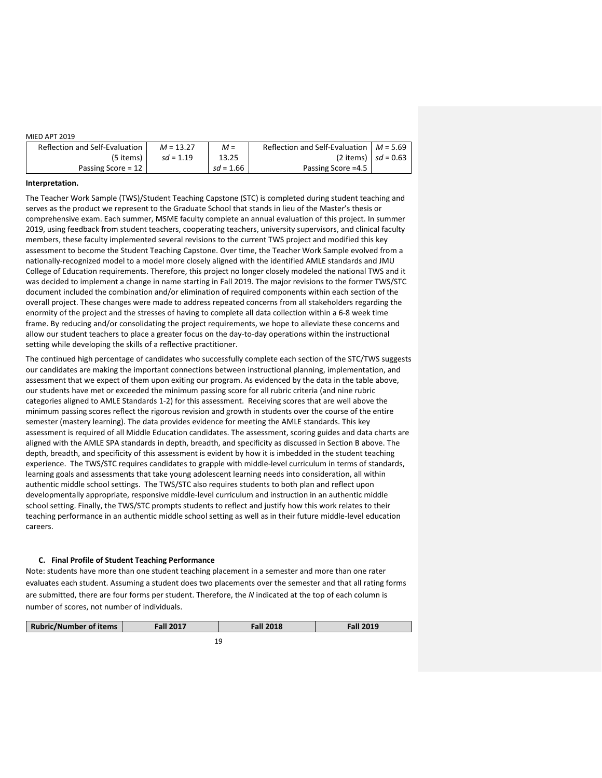| Reflection and Self-Evaluation | $M = 13.27$ | $M =$       | Reflection and Self-Evaluation $M = 5.69$ |                         |
|--------------------------------|-------------|-------------|-------------------------------------------|-------------------------|
| (5 items)                      | $sd = 1.19$ | 13.25       |                                           | (2 items)   $sd = 0.63$ |
| Passing Score = $12$           |             | $sd = 1.66$ | Passing Score = 4.5                       |                         |

#### **Interpretation.**

The Teacher Work Sample (TWS)/Student Teaching Capstone (STC) is completed during student teaching and serves as the product we represent to the Graduate School that stands in lieu of the Master's thesis or comprehensive exam. Each summer, MSME faculty complete an annual evaluation of this project. In summer 2019, using feedback from student teachers, cooperating teachers, university supervisors, and clinical faculty members, these faculty implemented several revisions to the current TWS project and modified this key assessment to become the Student Teaching Capstone. Over time, the Teacher Work Sample evolved from a nationally-recognized model to a model more closely aligned with the identified AMLE standards and JMU College of Education requirements. Therefore, this project no longer closely modeled the national TWS and it was decided to implement a change in name starting in Fall 2019. The major revisions to the former TWS/STC document included the combination and/or elimination of required components within each section of the overall project. These changes were made to address repeated concerns from all stakeholders regarding the enormity of the project and the stresses of having to complete all data collection within a 6-8 week time frame. By reducing and/or consolidating the project requirements, we hope to alleviate these concerns and allow our student teachers to place a greater focus on the day-to-day operations within the instructional setting while developing the skills of a reflective practitioner.

The continued high percentage of candidates who successfully complete each section of the STC/TWS suggests our candidates are making the important connections between instructional planning, implementation, and assessment that we expect of them upon exiting our program. As evidenced by the data in the table above, our students have met or exceeded the minimum passing score for all rubric criteria (and nine rubric categories aligned to AMLE Standards 1-2) for this assessment. Receiving scores that are well above the minimum passing scores reflect the rigorous revision and growth in students over the course of the entire semester (mastery learning). The data provides evidence for meeting the AMLE standards. This key assessment is required of all Middle Education candidates. The assessment, scoring guides and data charts are aligned with the AMLE SPA standards in depth, breadth, and specificity as discussed in Section B above. The depth, breadth, and specificity of this assessment is evident by how it is imbedded in the student teaching experience. The TWS/STC requires candidates to grapple with middle-level curriculum in terms of standards, learning goals and assessments that take young adolescent learning needs into consideration, all within authentic middle school settings. The TWS/STC also requires students to both plan and reflect upon developmentally appropriate, responsive middle-level curriculum and instruction in an authentic middle school setting. Finally, the TWS/STC prompts students to reflect and justify how this work relates to their teaching performance in an authentic middle school setting as well as in their future middle-level education careers.

## **C. Final Profile of Student Teaching Performance**

Note: students have more than one student teaching placement in a semester and more than one rater evaluates each student. Assuming a student does two placements over the semester and that all rating forms are submitted, there are four forms per student. Therefore, the *N* indicated at the top of each column is number of scores, not number of individuals.

| <b>Rubric/Number of items</b> | <b>Fall 2017</b> | <b>Fall 2018</b> | <b>Fall 2019</b> |
|-------------------------------|------------------|------------------|------------------|
|                               | 19               |                  |                  |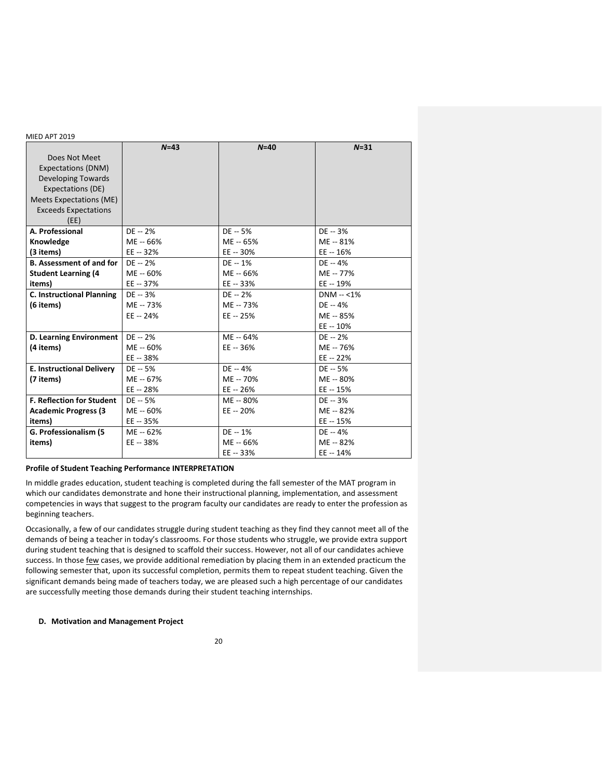|                                  | $N=43$     | $N=40$     | $N = 31$      |
|----------------------------------|------------|------------|---------------|
| Does Not Meet                    |            |            |               |
| Expectations (DNM)               |            |            |               |
| <b>Developing Towards</b>        |            |            |               |
| Expectations (DE)                |            |            |               |
| <b>Meets Expectations (ME)</b>   |            |            |               |
| <b>Exceeds Expectations</b>      |            |            |               |
| (EE)                             |            |            |               |
| A. Professional                  | $DE - 2%$  | $DE - 5%$  | $DE - 3%$     |
| Knowledge                        | ME -- 66%  | ME -- 65%  | ME -- 81%     |
| (3 items)                        | $EE - 32%$ | $EE - 30%$ | $EE - 16%$    |
| <b>B. Assessment of and for</b>  | $DE - 2%$  | $DE - 1%$  | $DE - 4%$     |
| <b>Student Learning (4</b>       | ME -- 60%  | ME -- 66%  | ME -- 77%     |
| items)                           | EE -- 37%  | $EE - 33%$ | EE -- 19%     |
| <b>C. Instructional Planning</b> | $DE - 3%$  | $DE - 2%$  | $DNM - < 1\%$ |
| (6 items)                        | ME -- 73%  | ME -- 73%  | $DE - 4%$     |
|                                  | EE -- 24%  | $EE - 25%$ | ME -- 85%     |
|                                  |            |            | EE -- 10%     |
| <b>D. Learning Environment</b>   | $DE - 2%$  | ME -- 64%  | $DE - 2%$     |
| (4 items)                        | ME -- 60%  | $EE - 36%$ | ME -- 76%     |
|                                  | EE -- 38%  |            | EE -- 22%     |
| <b>E. Instructional Delivery</b> | $DE - 5%$  | $DE - 4%$  | $DE - 5%$     |
| (7 items)                        | ME -- 67%  | ME -- 70%  | ME -- 80%     |
|                                  | $EE - 28%$ | $EE - 26%$ | $EE - 15%$    |
| <b>F. Reflection for Student</b> | DE -- 5%   | ME -- 80%  | $DE - 3%$     |
| <b>Academic Progress (3</b>      | ME -- 60%  | EE -- 20%  | ME -- 82%     |
| items)                           | EE -- 35%  |            | EE -- 15%     |
| G. Professionalism (5            | ME -- 62%  | $DE - 1%$  | $DE - 4%$     |
| items)                           | $EE - 38%$ | ME -- 66%  | ME -- 82%     |
|                                  |            | EE -- 33%  | EE -- 14%     |

## **Profile of Student Teaching Performance INTERPRETATION**

In middle grades education, student teaching is completed during the fall semester of the MAT program in which our candidates demonstrate and hone their instructional planning, implementation, and assessment competencies in ways that suggest to the program faculty our candidates are ready to enter the profession as beginning teachers.

Occasionally, a few of our candidates struggle during student teaching as they find they cannot meet all of the demands of being a teacher in today's classrooms. For those students who struggle, we provide extra support during student teaching that is designed to scaffold their success. However, not all of our candidates achieve success. In those few cases, we provide additional remediation by placing them in an extended practicum the following semester that, upon its successful completion, permits them to repeat student teaching. Given the significant demands being made of teachers today, we are pleased such a high percentage of our candidates are successfully meeting those demands during their student teaching internships.

## **D. Motivation and Management Project**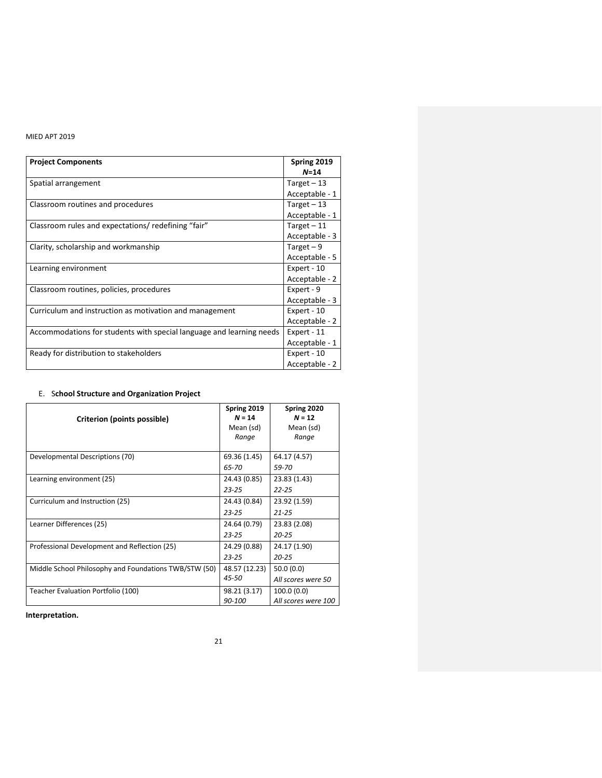| <b>Project Components</b>                                            | Spring 2019<br>$N=14$ |
|----------------------------------------------------------------------|-----------------------|
| Spatial arrangement                                                  | Target $-13$          |
|                                                                      | Acceptable - 1        |
| Classroom routines and procedures                                    | Target $-13$          |
|                                                                      | Acceptable - 1        |
| Classroom rules and expectations/ redefining "fair"                  | Target $-11$          |
|                                                                      | Acceptable - 3        |
| Clarity, scholarship and workmanship                                 | Target $-9$           |
|                                                                      | Acceptable - 5        |
| Learning environment                                                 | Expert - 10           |
|                                                                      | Acceptable - 2        |
| Classroom routines, policies, procedures                             | Expert - 9            |
|                                                                      | Acceptable - 3        |
| Curriculum and instruction as motivation and management              | Expert - 10           |
|                                                                      | Acceptable - 2        |
| Accommodations for students with special language and learning needs | Expert - 11           |
|                                                                      | Acceptable - 1        |
| Ready for distribution to stakeholders                               | Expert - 10           |
|                                                                      | Acceptable - 2        |

# E. S**chool Structure and Organization Project**

| Criterion (points possible)                           | Spring 2019<br>$N = 14$ | Spring 2020<br>$N = 12$ |
|-------------------------------------------------------|-------------------------|-------------------------|
|                                                       | Mean (sd)               | Mean (sd)               |
|                                                       | Range                   | Range                   |
| Developmental Descriptions (70)                       | 69.36 (1.45)            | 64.17 (4.57)            |
|                                                       | 65-70                   | 59-70                   |
| Learning environment (25)                             | 24.43 (0.85)            | 23.83 (1.43)            |
|                                                       | $23 - 25$               | $22 - 25$               |
| Curriculum and Instruction (25)                       | 24.43 (0.84)            | 23.92 (1.59)            |
|                                                       | $23 - 25$               | $21 - 25$               |
| Learner Differences (25)                              | 24.64 (0.79)            | 23.83 (2.08)            |
|                                                       | $23 - 25$               | $20 - 25$               |
| Professional Development and Reflection (25)          | 24.29 (0.88)            | 24.17 (1.90)            |
|                                                       | $23 - 25$               | $20 - 25$               |
| Middle School Philosophy and Foundations TWB/STW (50) | 48.57 (12.23)           | 50.0(0.0)               |
|                                                       | 45-50                   | All scores were 50      |
| Teacher Evaluation Portfolio (100)                    | 98.21 (3.17)            | 100.0(0.0)              |
|                                                       | 90-100                  | All scores were 100     |

**Interpretation.**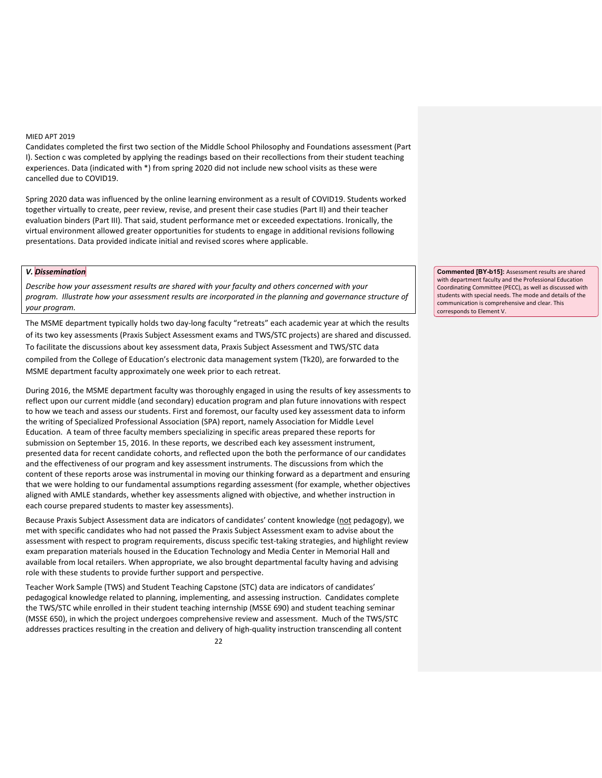Candidates completed the first two section of the Middle School Philosophy and Foundations assessment (Part I). Section c was completed by applying the readings based on their recollections from their student teaching experiences. Data (indicated with \*) from spring 2020 did not include new school visits as these were cancelled due to COVID19.

Spring 2020 data was influenced by the online learning environment as a result of COVID19. Students worked together virtually to create, peer review, revise, and present their case studies (Part II) and their teacher evaluation binders (Part III). That said, student performance met or exceeded expectations. Ironically, the virtual environment allowed greater opportunities for students to engage in additional revisions following presentations. Data provided indicate initial and revised scores where applicable.

#### *V. Dissemination*

*Describe how your assessment results are shared with your faculty and others concerned with your program. Illustrate how your assessment results are incorporated in the planning and governance structure of your program.*

The MSME department typically holds two day-long faculty "retreats" each academic year at which the results of its two key assessments (Praxis Subject Assessment exams and TWS/STC projects) are shared and discussed. To facilitate the discussions about key assessment data, Praxis Subject Assessment and TWS/STC data compiled from the College of Education's electronic data management system (Tk20), are forwarded to the MSME department faculty approximately one week prior to each retreat.

During 2016, the MSME department faculty was thoroughly engaged in using the results of key assessments to reflect upon our current middle (and secondary) education program and plan future innovations with respect to how we teach and assess our students. First and foremost, our faculty used key assessment data to inform the writing of Specialized Professional Association (SPA) report, namely Association for Middle Level Education. A team of three faculty members specializing in specific areas prepared these reports for submission on September 15, 2016. In these reports, we described each key assessment instrument, presented data for recent candidate cohorts, and reflected upon the both the performance of our candidates and the effectiveness of our program and key assessment instruments. The discussions from which the content of these reports arose was instrumental in moving our thinking forward as a department and ensuring that we were holding to our fundamental assumptions regarding assessment (for example, whether objectives aligned with AMLE standards, whether key assessments aligned with objective, and whether instruction in each course prepared students to master key assessments).

Because Praxis Subject Assessment data are indicators of candidates' content knowledge (not pedagogy), we met with specific candidates who had not passed the Praxis Subject Assessment exam to advise about the assessment with respect to program requirements, discuss specific test-taking strategies, and highlight review exam preparation materials housed in the Education Technology and Media Center in Memorial Hall and available from local retailers. When appropriate, we also brought departmental faculty having and advising role with these students to provide further support and perspective.

Teacher Work Sample (TWS) and Student Teaching Capstone (STC) data are indicators of candidates' pedagogical knowledge related to planning, implementing, and assessing instruction. Candidates complete the TWS/STC while enrolled in their student teaching internship (MSSE 690) and student teaching seminar (MSSE 650), in which the project undergoes comprehensive review and assessment. Much of the TWS/STC addresses practices resulting in the creation and delivery of high-quality instruction transcending all content **Commented [BY-b15]:** Assessment results are shared with department faculty and the Professional Education Coordinating Committee (PECC), as well as discussed with students with special needs. The mode and details of the communication is comprehensive and clear. This corresponds to Element V.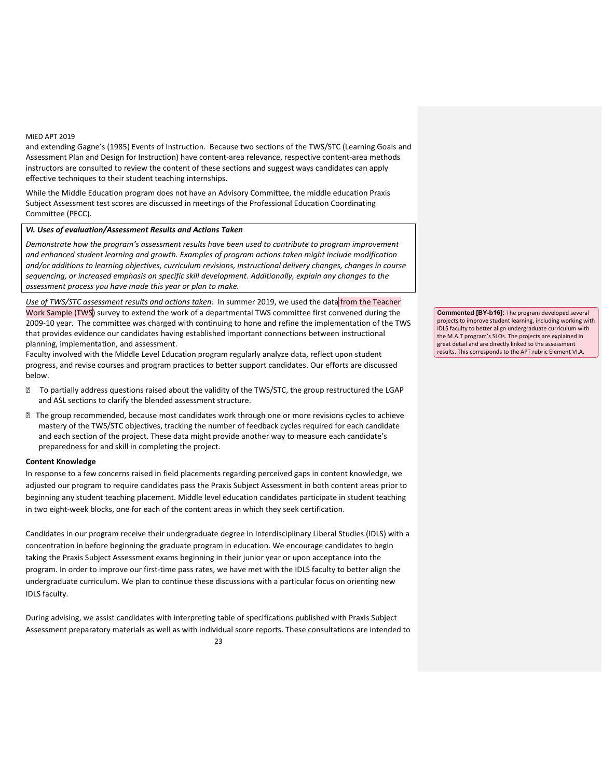and extending Gagne's (1985) Events of Instruction. Because two sections of the TWS/STC (Learning Goals and Assessment Plan and Design for Instruction) have content-area relevance, respective content-area methods instructors are consulted to review the content of these sections and suggest ways candidates can apply effective techniques to their student teaching internships.

While the Middle Education program does not have an Advisory Committee, the middle education Praxis Subject Assessment test scores are discussed in meetings of the Professional Education Coordinating Committee (PECC).

#### *VI. Uses of evaluation/Assessment Results and Actions Taken*

*Demonstrate how the program's assessment results have been used to contribute to program improvement and enhanced student learning and growth. Examples of program actions taken might include modification and/or additions to learning objectives, curriculum revisions, instructional delivery changes, changes in course sequencing, or increased emphasis on specific skill development. Additionally, explain any changes to the assessment process you have made this year or plan to make.*

*Use of TWS/STC assessment results and actions taken:* In summer 2019, we used the data from the Teacher Work Sample (TWS) survey to extend the work of a departmental TWS committee first convened during the 2009-10 year. The committee was charged with continuing to hone and refine the implementation of the TWS that provides evidence our candidates having established important connections between instructional planning, implementation, and assessment.

Faculty involved with the Middle Level Education program regularly analyze data, reflect upon student progress, and revise courses and program practices to better support candidates. Our efforts are discussed below.

- **If** To partially address questions raised about the validity of the TWS/STC, the group restructured the LGAP and ASL sections to clarify the blended assessment structure.
- The group recommended, because most candidates work through one or more revisions cycles to achieve mastery of the TWS/STC objectives, tracking the number of feedback cycles required for each candidate and each section of the project. These data might provide another way to measure each candidate's preparedness for and skill in completing the project.

### **Content Knowledge**

In response to a few concerns raised in field placements regarding perceived gaps in content knowledge, we adjusted our program to require candidates pass the Praxis Subject Assessment in both content areas prior to beginning any student teaching placement. Middle level education candidates participate in student teaching in two eight-week blocks, one for each of the content areas in which they seek certification.

Candidates in our program receive their undergraduate degree in Interdisciplinary Liberal Studies (IDLS) with a concentration in before beginning the graduate program in education. We encourage candidates to begin taking the Praxis Subject Assessment exams beginning in their junior year or upon acceptance into the program. In order to improve our first-time pass rates, we have met with the IDLS faculty to better align the undergraduate curriculum. We plan to continue these discussions with a particular focus on orienting new IDLS faculty.

During advising, we assist candidates with interpreting table of specifications published with Praxis Subject Assessment preparatory materials as well as with individual score reports. These consultations are intended to **Commented [BY-b16]:** The program developed several projects to improve student learning, including working with IDLS faculty to better align undergraduate curriculum with the M.A.T program's SLOs. The projects are explained in great detail and are directly linked to the assessment results. This corresponds to the APT rubric Element VI.A.